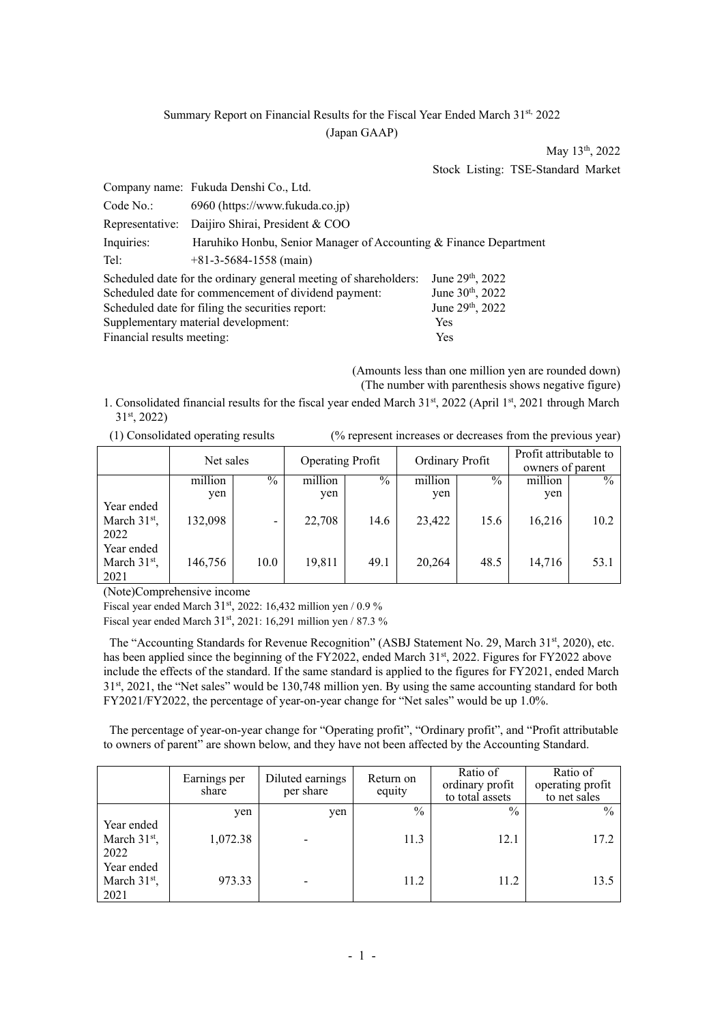# Summary Report on Financial Results for the Fiscal Year Ended March 31st, 2022 (Japan GAAP)

May 13<sup>th</sup>, 2022 Stock Listing: TSE-Standard Market

|                                                   | Company name: Fukuda Denshi Co., Ltd.                             |                              |  |  |  |  |
|---------------------------------------------------|-------------------------------------------------------------------|------------------------------|--|--|--|--|
| Code No.:                                         | 6960 (https://www.fukuda.co.jp)                                   |                              |  |  |  |  |
|                                                   | Representative: Daijiro Shirai, President & COO                   |                              |  |  |  |  |
| Inquiries:                                        | Haruhiko Honbu, Senior Manager of Accounting & Finance Department |                              |  |  |  |  |
| Tel:                                              | $+81-3-5684-1558$ (main)                                          |                              |  |  |  |  |
|                                                   | Scheduled date for the ordinary general meeting of shareholders:  | June 29 <sup>th</sup> , 2022 |  |  |  |  |
|                                                   | Scheduled date for commencement of dividend payment:              | June 30 <sup>th</sup> , 2022 |  |  |  |  |
|                                                   | Scheduled date for filing the securities report:                  | June 29th, 2022              |  |  |  |  |
| Supplementary material development:<br><b>Yes</b> |                                                                   |                              |  |  |  |  |
| Financial results meeting:                        |                                                                   | Yes                          |  |  |  |  |

(Amounts less than one million yen are rounded down) (The number with parenthesis shows negative figure)

1. Consolidated financial results for the fiscal year ended March 31st, 2022 (April 1st, 2021 through March 31st, 2022)

(1) Consolidated operating results (% represent increases or decreases from the previous year)

|                                                | Net sales |               | <b>Operating Profit</b> |               | Ordinary Profit |               | Profit attributable to<br>owners of parent |               |
|------------------------------------------------|-----------|---------------|-------------------------|---------------|-----------------|---------------|--------------------------------------------|---------------|
|                                                | million   | $\frac{0}{0}$ | million                 | $\frac{0}{0}$ | million         | $\frac{0}{0}$ | million                                    | $\frac{0}{0}$ |
|                                                | yen       |               | yen                     |               | yen             |               | yen                                        |               |
| Year ended<br>March 31 <sup>st</sup> ,<br>2022 | 132,098   |               | 22,708                  | 14.6          | 23,422          | 15.6          | 16,216                                     | 10.2          |
| Year ended<br>March 31 <sup>st</sup> ,<br>2021 | 146,756   | 10.0          | 19,811                  | 49.1          | 20,264          | 48.5          | 14,716                                     | 53.1          |

(Note)Comprehensive income

Fiscal year ended March  $31<sup>st</sup>$ , 2022: 16,432 million yen / 0.9 %

Fiscal year ended March 31<sup>st</sup>, 2021: 16,291 million yen / 87.3 %

The "Accounting Standards for Revenue Recognition" (ASBJ Statement No. 29, March 31st, 2020), etc. has been applied since the beginning of the FY2022, ended March 31st, 2022. Figures for FY2022 above include the effects of the standard. If the same standard is applied to the figures for FY2021, ended March 31<sup>st</sup>, 2021, the "Net sales" would be 130,748 million yen. By using the same accounting standard for both FY2021/FY2022, the percentage of year-on-year change for "Net sales" would be up 1.0%.

The percentage of year-on-year change for "Operating profit", "Ordinary profit", and "Profit attributable to owners of parent" are shown below, and they have not been affected by the Accounting Standard.

|                          | Earnings per<br>share | Diluted earnings<br>per share | Return on<br>equity | Ratio of<br>ordinary profit<br>to total assets | Ratio of<br>operating profit<br>to net sales |
|--------------------------|-----------------------|-------------------------------|---------------------|------------------------------------------------|----------------------------------------------|
|                          | yen                   | yen                           | $\frac{0}{0}$       | $\frac{0}{0}$                                  | $\frac{0}{0}$                                |
| Year ended               |                       |                               |                     |                                                |                                              |
| March $31st$ ,           | 1,072.38              |                               | 11.3                | 12.1                                           | 17.2                                         |
| 2022                     |                       |                               |                     |                                                |                                              |
| Year ended               |                       |                               |                     |                                                |                                              |
| March 31 <sup>st</sup> , | 973.33                |                               | 11.2                | 11.2                                           | 13.5                                         |
| 2021                     |                       |                               |                     |                                                |                                              |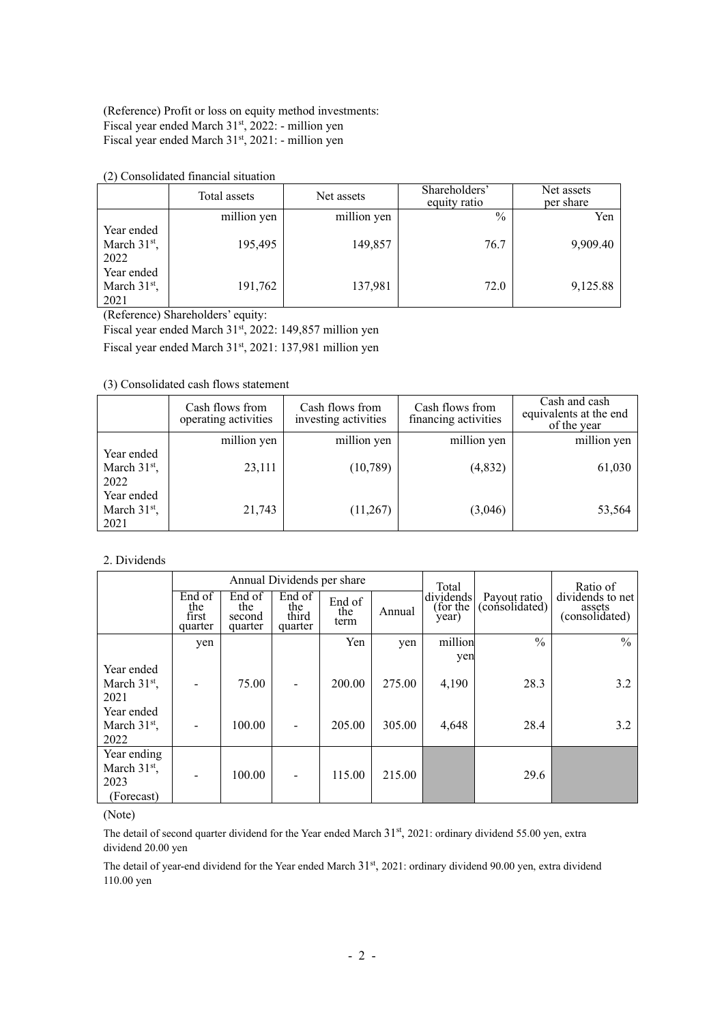(Reference) Profit or loss on equity method investments: Fiscal year ended March 31st, 2022: - million yen Fiscal year ended March 31<sup>st</sup>, 2021: - million yen

(2) Consolidated financial situation

|                                                | Total assets | Net assets  | Shareholders'<br>equity ratio | Net assets<br>per share |
|------------------------------------------------|--------------|-------------|-------------------------------|-------------------------|
|                                                | million yen  | million yen | $\%$                          | Yen                     |
| Year ended<br>March 31 <sup>st</sup> ,<br>2022 | 195,495      | 149,857     | 76.7                          | 9,909.40                |
| Year ended<br>March $31st$ ,<br>2021           | 191,762      | 137,981     | 72.0                          | 9,125.88                |

(Reference) Shareholders' equity:

Fiscal year ended March 31st, 2022: 149,857 million yen

Fiscal year ended March 31st, 2021: 137,981 million yen

(3) Consolidated cash flows statement

|                                                | Cash flows from<br>operating activities | Cash flows from<br>investing activities | Cash flows from<br>financing activities | Cash and cash<br>equivalents at the end<br>of the year |
|------------------------------------------------|-----------------------------------------|-----------------------------------------|-----------------------------------------|--------------------------------------------------------|
|                                                | million yen                             | million yen                             | million yen                             | million yen                                            |
| Year ended<br>March 31 <sup>st</sup> ,<br>2022 | 23,111                                  | (10, 789)                               | (4,832)                                 | 61,030                                                 |
| Year ended<br>March 31 <sup>st</sup> ,<br>2021 | 21,743                                  | (11,267)                                | (3,046)                                 | 53,564                                                 |

### 2. Dividends

|                                       | Annual Dividends per share        |                                    |                                   |                       |        | Total                         |                                | Ratio of                                     |  |
|---------------------------------------|-----------------------------------|------------------------------------|-----------------------------------|-----------------------|--------|-------------------------------|--------------------------------|----------------------------------------------|--|
|                                       | End of<br>the<br>first<br>quarter | End of<br>the<br>second<br>quarter | End of<br>the<br>third<br>quarter | End of<br>the<br>term | Annual | dividends<br>for the<br>year) | Payout ratio<br>(consolidated) | dividends to net<br>assets<br>(consolidated) |  |
|                                       | yen                               |                                    |                                   | Yen                   | yen    | million                       | $\frac{0}{0}$                  | $\frac{0}{0}$                                |  |
|                                       |                                   |                                    |                                   |                       |        | yen                           |                                |                                              |  |
| Year ended                            |                                   |                                    |                                   |                       |        |                               |                                |                                              |  |
| March $31st$ ,                        |                                   | 75.00                              |                                   | 200.00                | 275.00 | 4,190                         | 28.3                           | 3.2                                          |  |
| 2021                                  |                                   |                                    |                                   |                       |        |                               |                                |                                              |  |
| Year ended                            |                                   |                                    |                                   |                       |        |                               |                                |                                              |  |
| March $31st$ ,                        |                                   | 100.00                             |                                   | 205.00                | 305.00 | 4,648                         | 28.4                           | 3.2                                          |  |
| 2022                                  |                                   |                                    |                                   |                       |        |                               |                                |                                              |  |
| Year ending<br>March $31st$ ,<br>2023 |                                   | 100.00                             |                                   | 115.00                | 215.00 |                               | 29.6                           |                                              |  |
| (Forecast)                            |                                   |                                    |                                   |                       |        |                               |                                |                                              |  |

#### (Note)

The detail of second quarter dividend for the Year ended March 31<sup>st</sup>, 2021: ordinary dividend 55.00 yen, extra dividend 20.00 yen

The detail of year-end dividend for the Year ended March 31<sup>st</sup>, 2021: ordinary dividend 90.00 yen, extra dividend 110.00 yen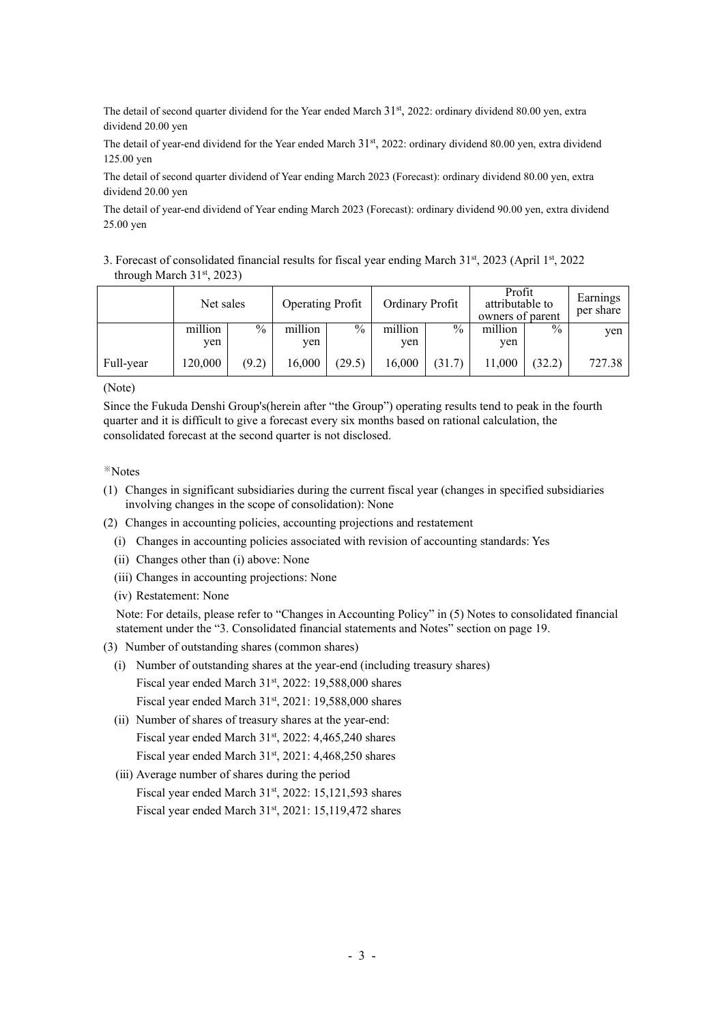The detail of second quarter dividend for the Year ended March  $31<sup>st</sup>$ , 2022: ordinary dividend 80.00 yen, extra dividend 20.00 yen

The detail of year-end dividend for the Year ended March  $31<sup>st</sup>$ , 2022: ordinary dividend 80.00 yen, extra dividend 125.00 yen

The detail of second quarter dividend of Year ending March 2023 (Forecast): ordinary dividend 80.00 yen, extra dividend 20.00 yen

The detail of year-end dividend of Year ending March 2023 (Forecast): ordinary dividend 90.00 yen, extra dividend 25.00 yen

3. Forecast of consolidated financial results for fiscal year ending March 31st, 2023 (April 1st, 2022 through March  $31<sup>st</sup>$ , 2023)

|           |                | Ordinary Profit<br><b>Operating Profit</b><br>Net sales |                | Profit<br>attributable to<br>owners of parent |                | Earnings<br>per share |                |               |        |
|-----------|----------------|---------------------------------------------------------|----------------|-----------------------------------------------|----------------|-----------------------|----------------|---------------|--------|
|           | million<br>ven | $\frac{0}{0}$                                           | million<br>ven | $\%$                                          | million<br>yen | $\frac{0}{0}$         | million<br>yen | $\frac{0}{0}$ | yen    |
| Full-year | 120,000        | (9.2)                                                   | 16,000         | (29.5)                                        | 16,000         | (31.7)                | 11,000         | (32.2)        | 727.38 |

(Note)

Since the Fukuda Denshi Group's(herein after "the Group") operating results tend to peak in the fourth quarter and it is difficult to give a forecast every six months based on rational calculation, the consolidated forecast at the second quarter is not disclosed.

## ※Notes

- (1) Changes in significant subsidiaries during the current fiscal year (changes in specified subsidiaries involving changes in the scope of consolidation): None
- (2) Changes in accounting policies, accounting projections and restatement
	- (i) Changes in accounting policies associated with revision of accounting standards: Yes
	- (ii) Changes other than (i) above: None
	- (iii) Changes in accounting projections: None
	- (iv) Restatement: None

Note: For details, please refer to "Changes in Accounting Policy" in (5) Notes to consolidated financial statement under the "3. Consolidated financial statements and Notes" section on page 19.

- (3) Number of outstanding shares (common shares)
	- (i) Number of outstanding shares at the year-end (including treasury shares) Fiscal year ended March 31st, 2022: 19,588,000 shares Fiscal year ended March  $31<sup>st</sup>$ , 2021: 19,588,000 shares
	- (ii) Number of shares of treasury shares at the year-end: Fiscal year ended March 31st, 2022: 4,465,240 shares Fiscal year ended March  $31<sup>st</sup>$ , 2021: 4,468,250 shares
	- (ⅲ) Average number of shares during the period

Fiscal year ended March  $31<sup>st</sup>$ , 2022: 15,121,593 shares

Fiscal year ended March 31<sup>st</sup>, 2021: 15,119,472 shares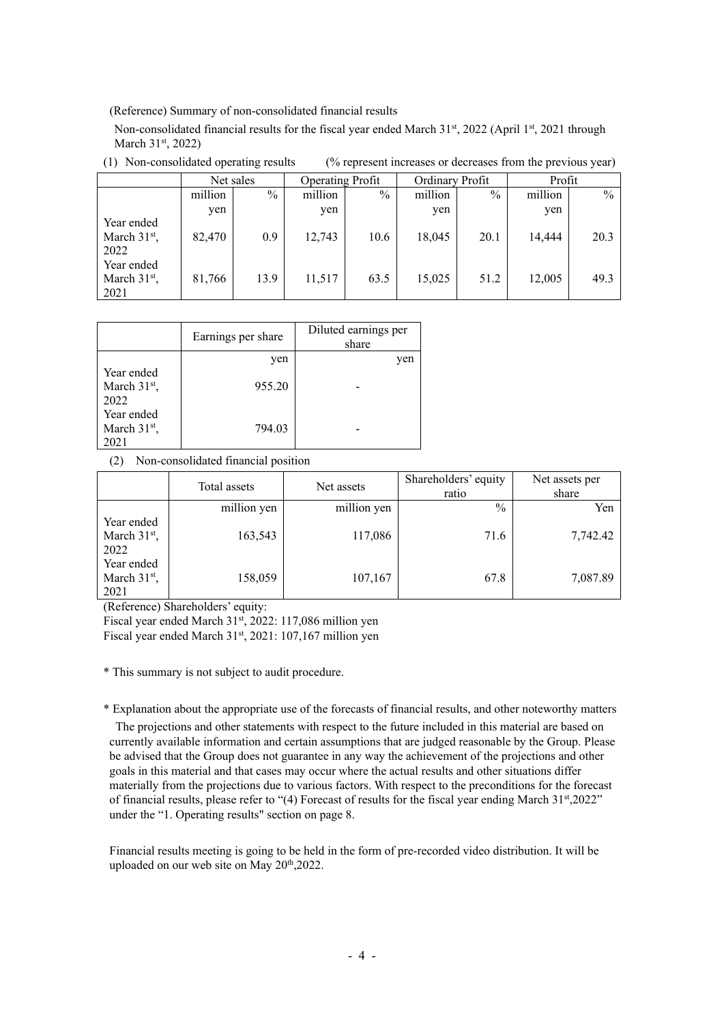(Reference) Summary of non-consolidated financial results

Non-consolidated financial results for the fiscal year ended March  $31^{st}$ , 2022 (April  $1^{st}$ , 2021 through March 31<sup>st</sup>, 2022)

(1) Non-consolidated operating results (% represent increases or decreases from the previous year)

|                                      | Net sales |      | <b>Operating Profit</b> |      | Ordinary Profit |      | Profit  |               |
|--------------------------------------|-----------|------|-------------------------|------|-----------------|------|---------|---------------|
|                                      | million   | $\%$ | million                 | $\%$ | million         | $\%$ | million | $\frac{0}{0}$ |
|                                      | yen       |      | yen                     |      | yen             |      | yen     |               |
| Year ended<br>March $31st$ ,<br>2022 | 82,470    | 0.9  | 12,743                  | 10.6 | 18,045          | 20.1 | 14,444  | 20.3          |
| Year ended<br>March $31st$ ,<br>2021 | 81,766    | 13.9 | 11,517                  | 63.5 | 15,025          | 51.2 | 12,005  | 49.3          |

|                                      | Earnings per share | Diluted earnings per<br>share |
|--------------------------------------|--------------------|-------------------------------|
|                                      | yen                | yen                           |
| Year ended<br>March $31st$ ,<br>2022 | 955.20             |                               |
| Year ended<br>March $31st$ ,<br>021  | 794.03             |                               |

(2) Non-consolidated financial position

|                | Total assets | Net assets  | Shareholders' equity | Net assets per |
|----------------|--------------|-------------|----------------------|----------------|
|                |              |             | ratio                | share          |
|                | million yen  | million yen | $\frac{0}{0}$        | Yen            |
| Year ended     |              |             |                      |                |
| March $31st$ , | 163,543      | 117,086     | 71.6                 | 7,742.42       |
| 2022           |              |             |                      |                |
| Year ended     |              |             |                      |                |
| March $31st$ , | 158,059      | 107,167     | 67.8                 | 7,087.89       |
| 2021           |              |             |                      |                |

(Reference) Shareholders' equity:

Fiscal year ended March 31st, 2022: 117,086 million yen

Fiscal year ended March 31st, 2021: 107,167 million yen

\* This summary is not subject to audit procedure.

\* Explanation about the appropriate use of the forecasts of financial results, and other noteworthy matters The projections and other statements with respect to the future included in this material are based on currently available information and certain assumptions that are judged reasonable by the Group. Please be advised that the Group does not guarantee in any way the achievement of the projections and other goals in this material and that cases may occur where the actual results and other situations differ materially from the projections due to various factors. With respect to the preconditions for the forecast of financial results, please refer to "(4) Forecast of results for the fiscal year ending March 31st,2022" under the "1. Operating results" section on page 8.

Financial results meeting is going to be held in the form of pre-recorded video distribution. It will be uploaded on our web site on May 20<sup>th</sup>,2022.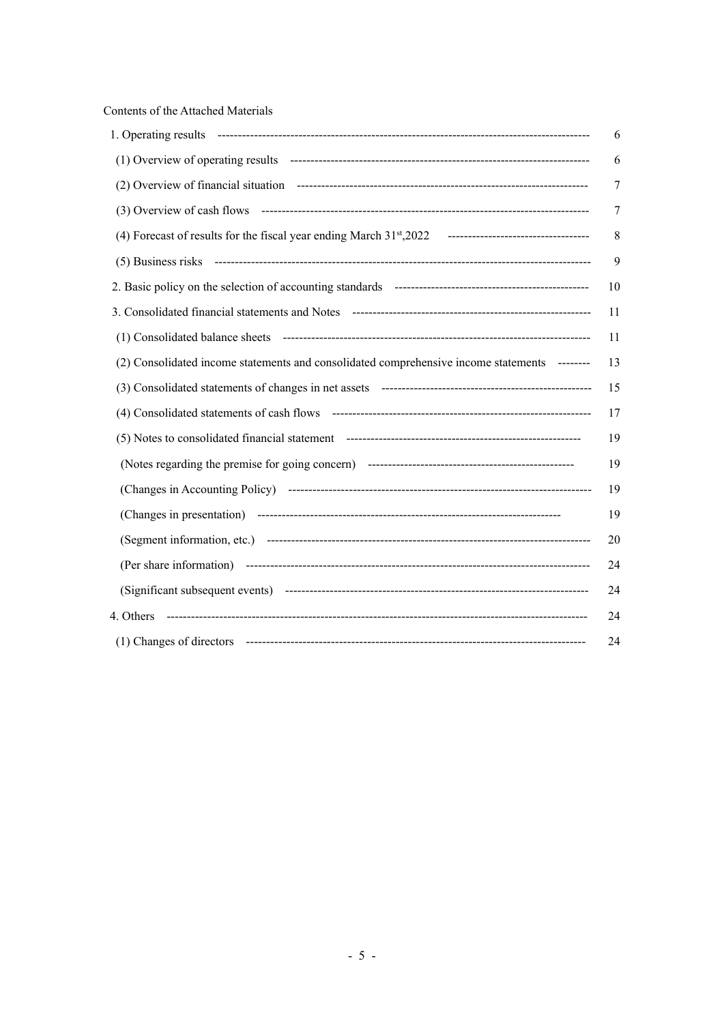Contents of the Attached Materials

|                                                                                              | 6  |
|----------------------------------------------------------------------------------------------|----|
|                                                                                              | 6  |
|                                                                                              | 7  |
|                                                                                              | 7  |
|                                                                                              | 8  |
|                                                                                              | 9  |
|                                                                                              | 10 |
|                                                                                              | 11 |
|                                                                                              | 11 |
| (2) Consolidated income statements and consolidated comprehensive income statements -------- | 13 |
|                                                                                              | 15 |
|                                                                                              | 17 |
|                                                                                              | 19 |
|                                                                                              | 19 |
|                                                                                              | 19 |
|                                                                                              | 19 |
|                                                                                              | 20 |
|                                                                                              | 24 |
|                                                                                              | 24 |
| 4. Others                                                                                    | 24 |
|                                                                                              | 24 |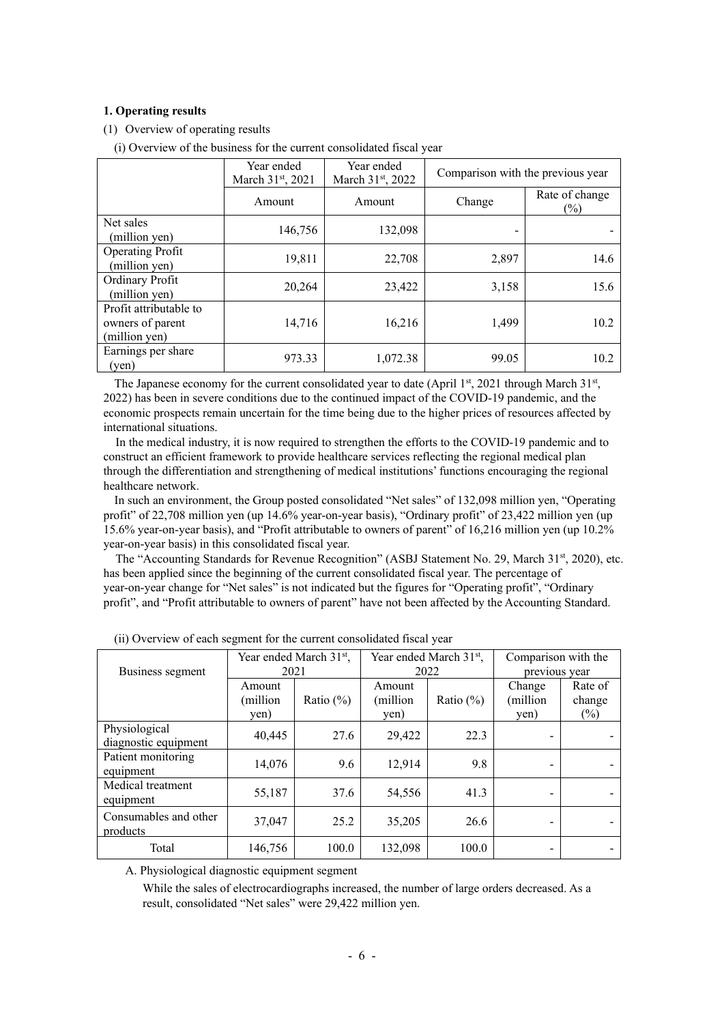## **1. Operating results**

- (1) Overview of operating results
	- (i) Overview of the business for the current consolidated fiscal year

|                                                             | Year ended<br>March 31st, 2021 | Year ended<br>March 31st, 2022 | Comparison with the previous year |                       |
|-------------------------------------------------------------|--------------------------------|--------------------------------|-----------------------------------|-----------------------|
|                                                             | Amount                         | Amount                         | Change                            | Rate of change<br>(%) |
| Net sales<br>(million yen)                                  | 146,756                        | 132,098                        |                                   |                       |
| <b>Operating Profit</b><br>(million yen)                    | 19,811                         | 22,708                         | 2,897                             | 14.6                  |
| Ordinary Profit<br>(million yen)                            | 20,264                         | 23,422                         | 3,158                             | 15.6                  |
| Profit attributable to<br>owners of parent<br>(million yen) | 14,716                         | 16,216                         | 1,499                             | 10.2                  |
| Earnings per share<br>(yen)                                 | 973.33                         | 1,072.38                       | 99.05                             | 10.2                  |

The Japanese economy for the current consolidated year to date (April 1st, 2021 through March 31st, 2022) has been in severe conditions due to the continued impact of the COVID-19 pandemic, and the economic prospects remain uncertain for the time being due to the higher prices of resources affected by international situations.

In the medical industry, it is now required to strengthen the efforts to the COVID-19 pandemic and to construct an efficient framework to provide healthcare services reflecting the regional medical plan through the differentiation and strengthening of medical institutions' functions encouraging the regional healthcare network.

In such an environment, the Group posted consolidated "Net sales" of 132,098 million yen, "Operating profit" of 22,708 million yen (up 14.6% year-on-year basis), "Ordinary profit" of 23,422 million yen (up 15.6% year-on-year basis), and "Profit attributable to owners of parent" of 16,216 million yen (up 10.2% year-on-year basis) in this consolidated fiscal year.

The "Accounting Standards for Revenue Recognition" (ASBJ Statement No. 29, March 31<sup>st</sup>, 2020), etc. has been applied since the beginning of the current consolidated fiscal year. The percentage of year-on-year change for "Net sales" is not indicated but the figures for "Operating profit", "Ordinary profit", and "Profit attributable to owners of parent" have not been affected by the Accounting Standard.

| Business segment                      | Year ended March 31 <sup>st</sup> ,<br>2021 |              | 2022                       | Year ended March 31 <sup>st</sup> , | Comparison with the<br>previous year |                             |
|---------------------------------------|---------------------------------------------|--------------|----------------------------|-------------------------------------|--------------------------------------|-----------------------------|
|                                       | Amount<br>(million<br>yen)                  | Ratio $(\%)$ | Amount<br>(million<br>yen) | Ratio $(\%)$                        | Change<br>(million)<br>yen)          | Rate of<br>change<br>$(\%)$ |
| Physiological<br>diagnostic equipment | 40,445                                      | 27.6         | 29,422                     | 22.3                                |                                      |                             |
| Patient monitoring<br>equipment       | 14,076                                      | 9.6          | 12,914                     | 9.8                                 |                                      |                             |
| Medical treatment<br>equipment        | 55,187                                      | 37.6         | 54,556                     | 41.3                                |                                      |                             |
| Consumables and other<br>products     | 37,047                                      | 25.2         | 35,205                     | 26.6                                |                                      |                             |
| Total                                 | 146,756                                     | 100.0        | 132,098                    | 100.0                               |                                      |                             |

(ii) Overview of each segment for the current consolidated fiscal year

A. Physiological diagnostic equipment segment

While the sales of electrocardiographs increased, the number of large orders decreased. As a result, consolidated "Net sales" were 29,422 million yen.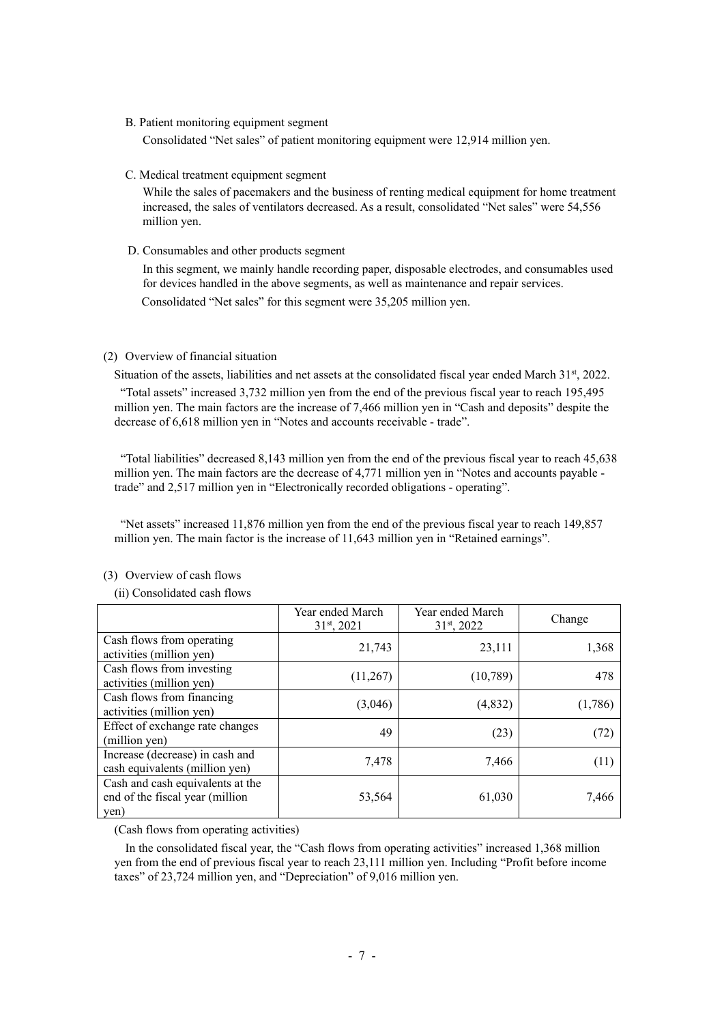#### B. Patient monitoring equipment segment

Consolidated "Net sales" of patient monitoring equipment were 12,914 million yen.

#### C. Medical treatment equipment segment

While the sales of pacemakers and the business of renting medical equipment for home treatment increased, the sales of ventilators decreased. As a result, consolidated "Net sales" were 54,556 million yen.

D. Consumables and other products segment

In this segment, we mainly handle recording paper, disposable electrodes, and consumables used for devices handled in the above segments, as well as maintenance and repair services. Consolidated "Net sales" for this segment were 35,205 million yen.

## (2) Overview of financial situation

Situation of the assets, liabilities and net assets at the consolidated fiscal year ended March 31st, 2022. "Total assets" increased 3,732 million yen from the end of the previous fiscal year to reach 195,495 million yen. The main factors are the increase of 7,466 million yen in "Cash and deposits" despite the decrease of 6,618 million yen in "Notes and accounts receivable - trade".

"Total liabilities" decreased 8,143 million yen from the end of the previous fiscal year to reach 45,638 million yen. The main factors are the decrease of 4,771 million yen in "Notes and accounts payable trade" and 2,517 million yen in "Electronically recorded obligations - operating".

"Net assets" increased 11,876 million yen from the end of the previous fiscal year to reach 149,857 million yen. The main factor is the increase of 11,643 million yen in "Retained earnings".

|                                                                             | Year ended March<br>$31st$ , 2021 | Year ended March<br>31 <sup>st</sup> , 2022 | Change  |
|-----------------------------------------------------------------------------|-----------------------------------|---------------------------------------------|---------|
| Cash flows from operating<br>activities (million yen)                       | 21,743                            | 23,111                                      | 1,368   |
| Cash flows from investing<br>activities (million yen)                       | (11,267)                          | (10, 789)                                   | 478     |
| Cash flows from financing<br>activities (million yen)                       | (3,046)                           | (4,832)                                     | (1,786) |
| Effect of exchange rate changes<br>(million yen)                            | 49                                | (23)                                        | (72)    |
| Increase (decrease) in cash and<br>cash equivalents (million yen)           | 7,478                             | 7,466                                       | (11)    |
| Cash and cash equivalents at the<br>end of the fiscal year (million<br>yen) | 53,564                            | 61,030                                      | 7,466   |

## (3) Overview of cash flows

## (ii) Consolidated cash flows

(Cash flows from operating activities)

In the consolidated fiscal year, the "Cash flows from operating activities" increased 1,368 million yen from the end of previous fiscal year to reach 23,111 million yen. Including "Profit before income taxes" of 23,724 million yen, and "Depreciation" of 9,016 million yen.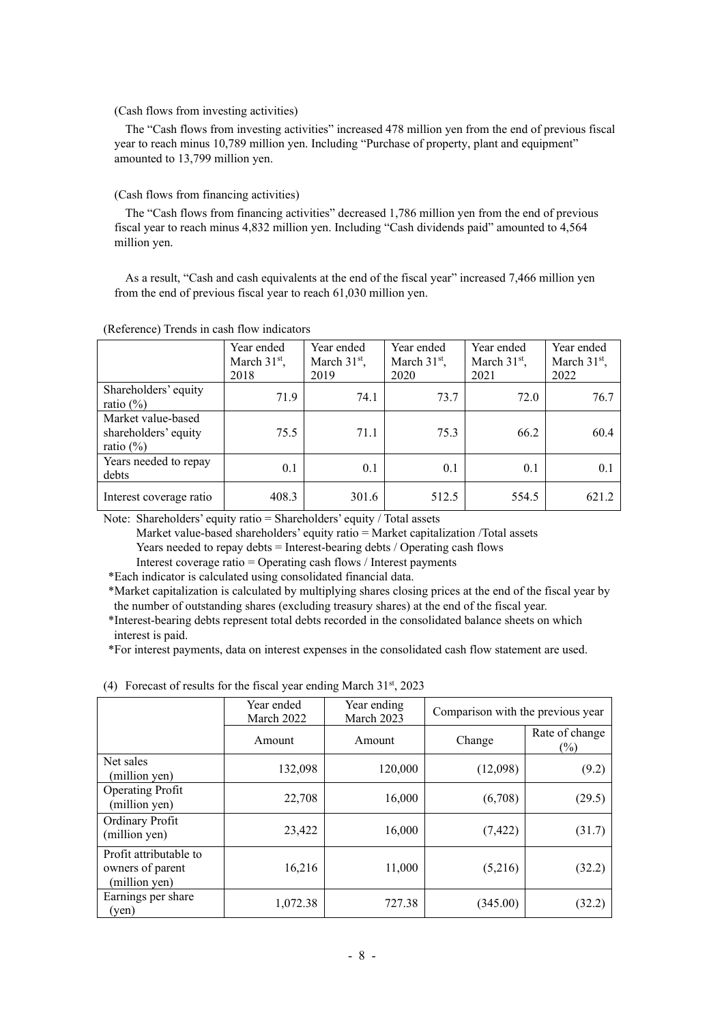#### (Cash flows from investing activities)

The "Cash flows from investing activities" increased 478 million yen from the end of previous fiscal year to reach minus 10,789 million yen. Including "Purchase of property, plant and equipment" amounted to 13,799 million yen.

### (Cash flows from financing activities)

The "Cash flows from financing activities" decreased 1,786 million yen from the end of previous fiscal year to reach minus 4,832 million yen. Including "Cash dividends paid" amounted to 4,564 million yen.

As a result, "Cash and cash equivalents at the end of the fiscal year" increased 7,466 million yen from the end of previous fiscal year to reach 61,030 million yen.

|                                                             | Year ended<br>March $31st$ ,<br>2018 | Year ended<br>March $31st$ ,<br>2019 | Year ended<br>March $31st$ ,<br>2020 | Year ended<br>March 31 <sup>st</sup> ,<br>2021 | Year ended<br>March $31st$ ,<br>2022 |
|-------------------------------------------------------------|--------------------------------------|--------------------------------------|--------------------------------------|------------------------------------------------|--------------------------------------|
| Shareholders' equity<br>ratio $(\% )$                       | 71.9                                 | 74.1                                 | 73.7                                 | 72.0                                           | 76.7                                 |
| Market value-based<br>shareholders' equity<br>ratio $(\% )$ | 75.5                                 | 71.1                                 | 75.3                                 | 66.2                                           | 60.4                                 |
| Years needed to repay<br>debts                              | 0.1                                  | 0.1                                  | 0.1                                  | 0.1                                            | 0.1                                  |
| Interest coverage ratio                                     | 408.3                                | 301.6                                | 512.5                                | 554.5                                          | 621.2                                |

(Reference) Trends in cash flow indicators

Note: Shareholders' equity ratio = Shareholders' equity / Total assets

Market value-based shareholders' equity ratio = Market capitalization /Total assets

Years needed to repay debts = Interest-bearing debts / Operating cash flows

Interest coverage ratio = Operating cash flows / Interest payments

\*Each indicator is calculated using consolidated financial data.

\*Market capitalization is calculated by multiplying shares closing prices at the end of the fiscal year by the number of outstanding shares (excluding treasury shares) at the end of the fiscal year.

\*Interest-bearing debts represent total debts recorded in the consolidated balance sheets on which interest is paid.

\*For interest payments, data on interest expenses in the consolidated cash flow statement are used.

|                                                             | Year ended<br>March 2022 | Year ending<br>March 2023 | Comparison with the previous year |                       |
|-------------------------------------------------------------|--------------------------|---------------------------|-----------------------------------|-----------------------|
|                                                             | Amount                   | Amount                    | Change                            | Rate of change<br>(%) |
| Net sales<br>(million yen)                                  | 132,098                  | 120,000                   | (12,098)                          | (9.2)                 |
| <b>Operating Profit</b><br>(million yen)                    | 22,708                   | 16,000                    | (6,708)                           | (29.5)                |
| Ordinary Profit<br>(million yen)                            | 23,422                   | 16,000                    | (7, 422)                          | (31.7)                |
| Profit attributable to<br>owners of parent<br>(million yen) | 16,216                   | 11,000                    | (5,216)                           | (32.2)                |
| Earnings per share<br>$(\text{ven})$                        | 1,072.38                 | 727.38                    | (345.00)                          | (32.2)                |

|  |  |  | (4) Forecast of results for the fiscal year ending March 31 <sup>st</sup> , 2023 |  |  |
|--|--|--|----------------------------------------------------------------------------------|--|--|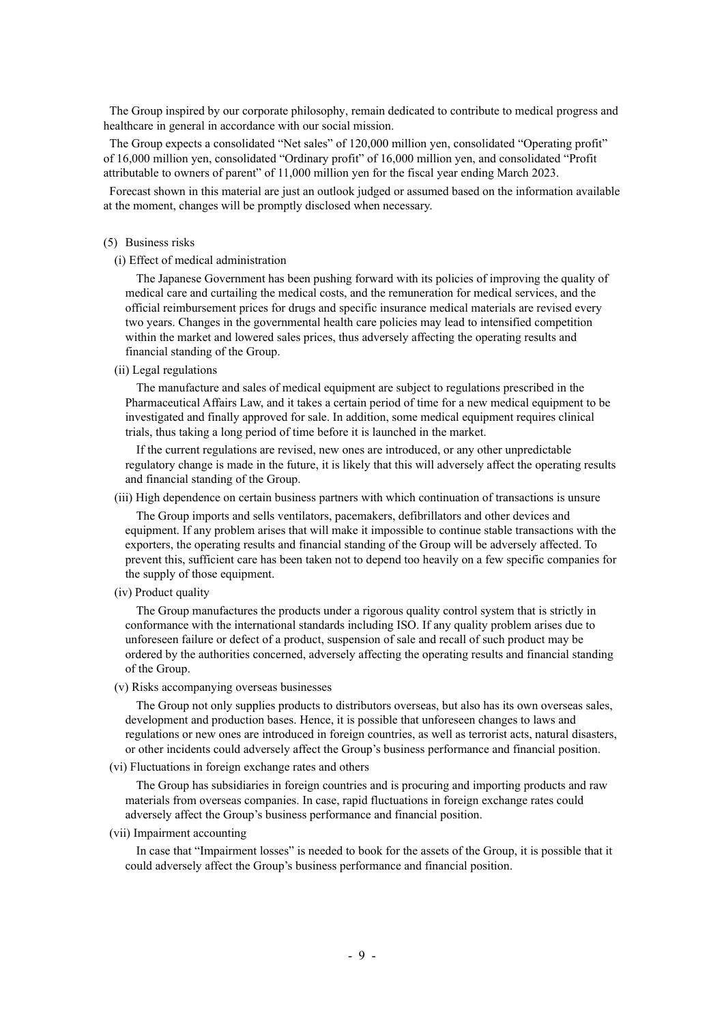The Group inspired by our corporate philosophy, remain dedicated to contribute to medical progress and healthcare in general in accordance with our social mission.

The Group expects a consolidated "Net sales" of 120,000 million yen, consolidated "Operating profit" of 16,000 million yen, consolidated "Ordinary profit" of 16,000 million yen, and consolidated "Profit attributable to owners of parent" of 11,000 million yen for the fiscal year ending March 2023.

Forecast shown in this material are just an outlook judged or assumed based on the information available at the moment, changes will be promptly disclosed when necessary.

#### (5) Business risks

(i) Effect of medical administration

The Japanese Government has been pushing forward with its policies of improving the quality of medical care and curtailing the medical costs, and the remuneration for medical services, and the official reimbursement prices for drugs and specific insurance medical materials are revised every two years. Changes in the governmental health care policies may lead to intensified competition within the market and lowered sales prices, thus adversely affecting the operating results and financial standing of the Group.

(ii) Legal regulations

The manufacture and sales of medical equipment are subject to regulations prescribed in the Pharmaceutical Affairs Law, and it takes a certain period of time for a new medical equipment to be investigated and finally approved for sale. In addition, some medical equipment requires clinical trials, thus taking a long period of time before it is launched in the market.

If the current regulations are revised, new ones are introduced, or any other unpredictable regulatory change is made in the future, it is likely that this will adversely affect the operating results and financial standing of the Group.

### (iii) High dependence on certain business partners with which continuation of transactions is unsure

The Group imports and sells ventilators, pacemakers, defibrillators and other devices and equipment. If any problem arises that will make it impossible to continue stable transactions with the exporters, the operating results and financial standing of the Group will be adversely affected. To prevent this, sufficient care has been taken not to depend too heavily on a few specific companies for the supply of those equipment.

(iv) Product quality

The Group manufactures the products under a rigorous quality control system that is strictly in conformance with the international standards including ISO. If any quality problem arises due to unforeseen failure or defect of a product, suspension of sale and recall of such product may be ordered by the authorities concerned, adversely affecting the operating results and financial standing of the Group.

(v) Risks accompanying overseas businesses

The Group not only supplies products to distributors overseas, but also has its own overseas sales, development and production bases. Hence, it is possible that unforeseen changes to laws and regulations or new ones are introduced in foreign countries, as well as terrorist acts, natural disasters, or other incidents could adversely affect the Group's business performance and financial position.

(vi) Fluctuations in foreign exchange rates and others

The Group has subsidiaries in foreign countries and is procuring and importing products and raw materials from overseas companies. In case, rapid fluctuations in foreign exchange rates could adversely affect the Group's business performance and financial position.

(vii) Impairment accounting

In case that "Impairment losses" is needed to book for the assets of the Group, it is possible that it could adversely affect the Group's business performance and financial position.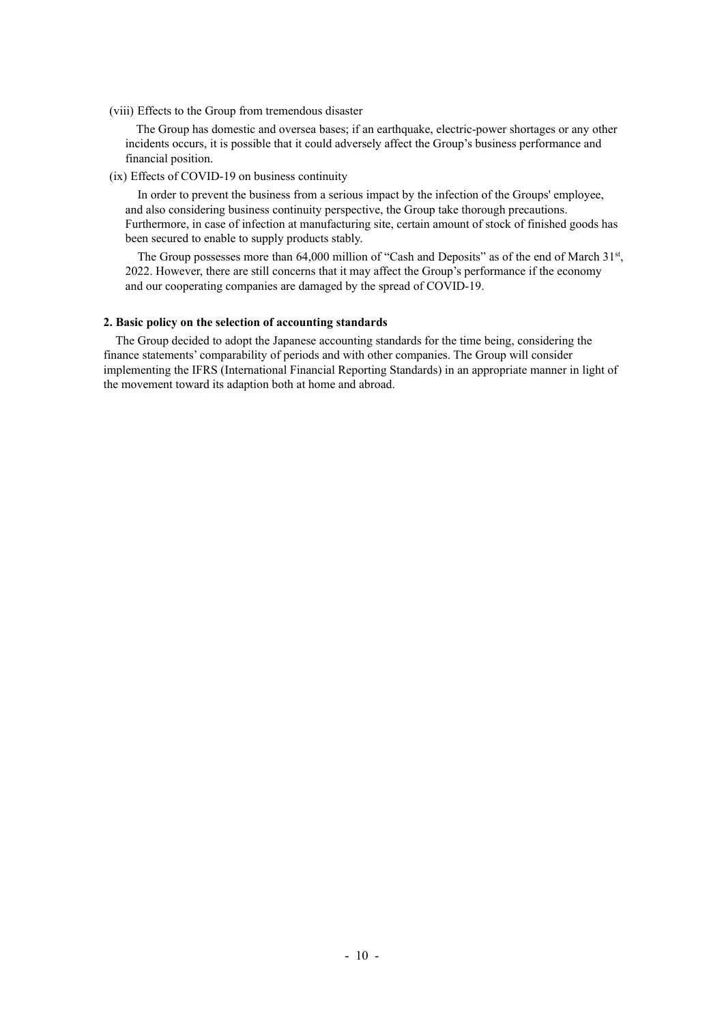(viii) Effects to the Group from tremendous disaster

The Group has domestic and oversea bases; if an earthquake, electric-power shortages or any other incidents occurs, it is possible that it could adversely affect the Group's business performance and financial position.

(ix) Effects of COVID-19 on business continuity

In order to prevent the business from a serious impact by the infection of the Groups' employee, and also considering business continuity perspective, the Group take thorough precautions. Furthermore, in case of infection at manufacturing site, certain amount of stock of finished goods has been secured to enable to supply products stably.

The Group possesses more than 64,000 million of "Cash and Deposits" as of the end of March  $31<sup>st</sup>$ , 2022. However, there are still concerns that it may affect the Group's performance if the economy and our cooperating companies are damaged by the spread of COVID-19.

### **2. Basic policy on the selection of accounting standards**

The Group decided to adopt the Japanese accounting standards for the time being, considering the finance statements' comparability of periods and with other companies. The Group will consider implementing the IFRS (International Financial Reporting Standards) in an appropriate manner in light of the movement toward its adaption both at home and abroad.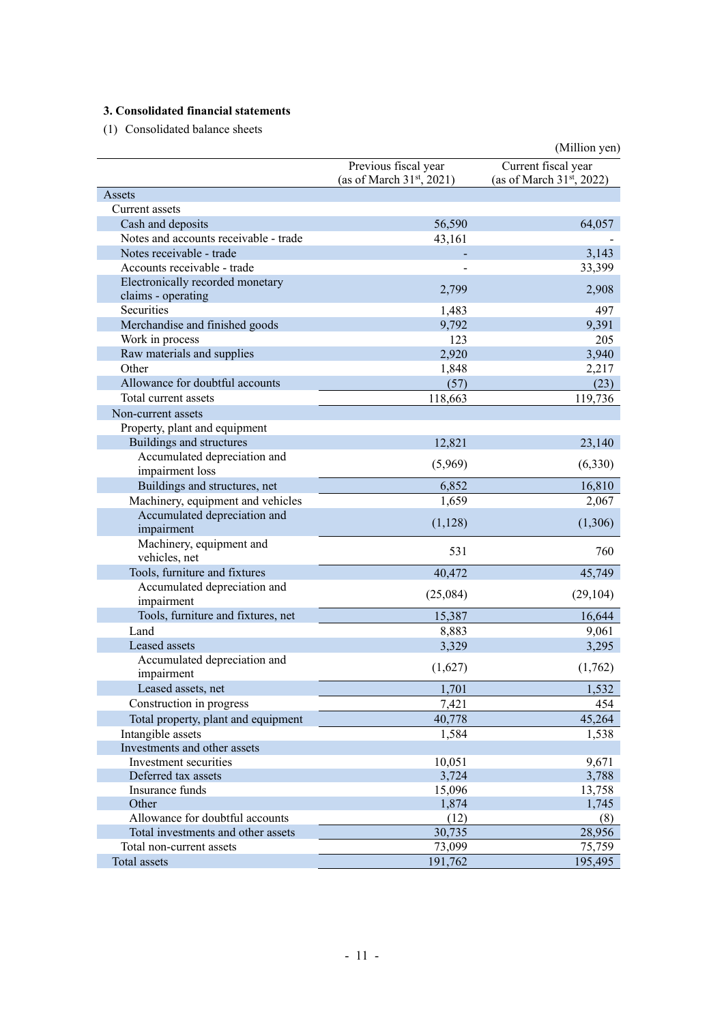# **3. Consolidated financial statements**

(1) Consolidated balance sheets

|                                       |                             | (Million yen)                  |
|---------------------------------------|-----------------------------|--------------------------------|
|                                       | Previous fiscal year        | Current fiscal year            |
|                                       | (as of March $31st$ , 2021) | (as of March $31^{st}$ , 2022) |
| Assets                                |                             |                                |
| Current assets                        |                             |                                |
| Cash and deposits                     | 56,590                      | 64,057                         |
| Notes and accounts receivable - trade | 43,161                      |                                |
| Notes receivable - trade              |                             | 3,143                          |
| Accounts receivable - trade           |                             | 33,399                         |
| Electronically recorded monetary      |                             |                                |
| claims - operating                    | 2,799                       | 2,908                          |
| Securities                            | 1,483                       | 497                            |
| Merchandise and finished goods        | 9,792                       | 9,391                          |
| Work in process                       | 123                         | 205                            |
| Raw materials and supplies            | 2,920                       | 3,940                          |
| Other                                 | 1,848                       | 2,217                          |
| Allowance for doubtful accounts       | (57)                        | (23)                           |
| Total current assets                  | 118,663                     | 119,736                        |
| Non-current assets                    |                             |                                |
| Property, plant and equipment         |                             |                                |
| Buildings and structures              | 12,821                      | 23,140                         |
| Accumulated depreciation and          |                             |                                |
| impairment loss                       | (5,969)                     | (6,330)                        |
| Buildings and structures, net         | 6,852                       | 16,810                         |
| Machinery, equipment and vehicles     | 1,659                       | 2,067                          |
| Accumulated depreciation and          |                             |                                |
| impairment                            | (1,128)                     | (1,306)                        |
| Machinery, equipment and              |                             |                                |
| vehicles, net                         | 531                         | 760                            |
| Tools, furniture and fixtures         | 40,472                      | 45,749                         |
| Accumulated depreciation and          | (25,084)                    | (29, 104)                      |
| impairment                            |                             |                                |
| Tools, furniture and fixtures, net    | 15,387                      | 16,644                         |
| Land                                  | 8,883                       | 9,061                          |
| Leased assets                         | 3,329                       | 3,295                          |
| Accumulated depreciation and          | (1,627)                     |                                |
| impairment                            |                             | (1,762)                        |
| Leased assets, net                    | 1,701                       | 1,532                          |
| Construction in progress              | 7,421                       | 454                            |
| Total property, plant and equipment   | 40,778                      | 45,264                         |
| Intangible assets                     | 1,584                       | 1,538                          |
| Investments and other assets          |                             |                                |
| Investment securities                 | 10,051                      | 9,671                          |
| Deferred tax assets                   | 3,724                       | 3,788                          |
| Insurance funds                       | 15,096                      | 13,758                         |
| Other                                 | 1,874                       | 1,745                          |
| Allowance for doubtful accounts       | (12)                        | (8)                            |
| Total investments and other assets    | 30,735                      | 28,956                         |
| Total non-current assets              | 73,099                      | 75,759                         |
| Total assets                          | 191,762                     | 195,495                        |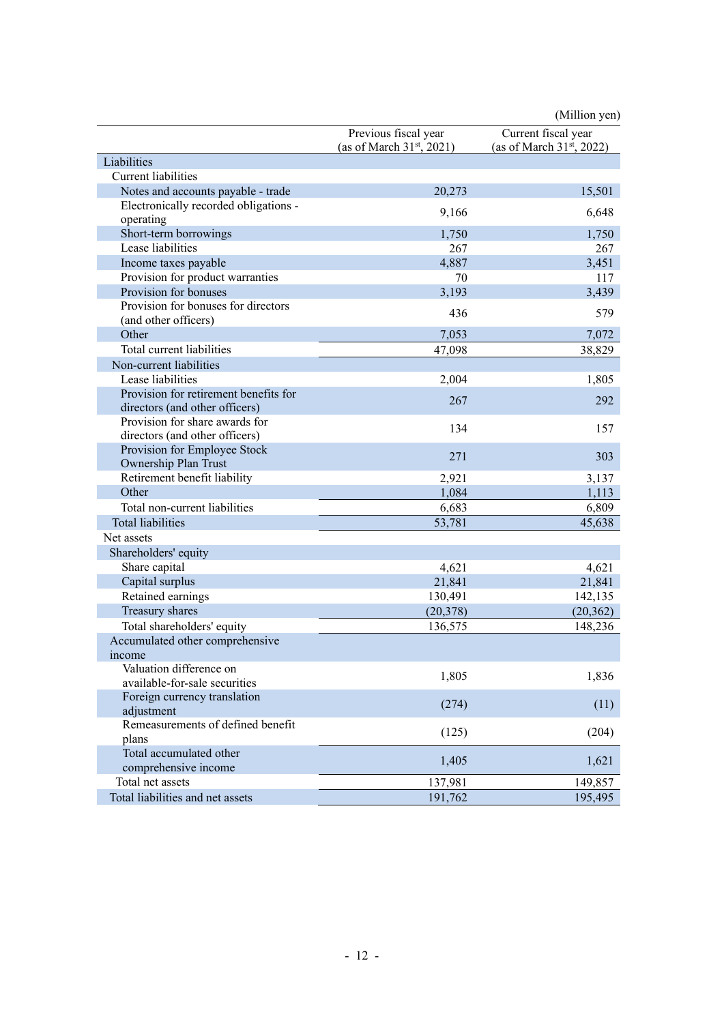|                                            |                                                     | (Million yen)                                      |
|--------------------------------------------|-----------------------------------------------------|----------------------------------------------------|
|                                            | Previous fiscal year<br>(as of March $31st$ , 2021) | Current fiscal year<br>(as of March $31st$ , 2022) |
| Liabilities                                |                                                     |                                                    |
| <b>Current</b> liabilities                 |                                                     |                                                    |
| Notes and accounts payable - trade         | 20,273                                              | 15,501                                             |
| Electronically recorded obligations -      | 9,166                                               | 6,648                                              |
| operating                                  |                                                     |                                                    |
| Short-term borrowings                      | 1,750                                               | 1,750                                              |
| Lease liabilities                          | 267                                                 | 267                                                |
| Income taxes payable                       | 4,887                                               | 3,451                                              |
| Provision for product warranties           | 70                                                  | 117                                                |
| Provision for bonuses                      | 3,193                                               | 3,439                                              |
| Provision for bonuses for directors        | 436                                                 | 579                                                |
| (and other officers)                       |                                                     |                                                    |
| Other                                      | 7,053                                               | 7,072                                              |
| Total current liabilities                  | 47,098                                              | 38,829                                             |
| Non-current liabilities                    |                                                     |                                                    |
| Lease liabilities                          | 2,004                                               | 1,805                                              |
| Provision for retirement benefits for      | 267                                                 | 292                                                |
| directors (and other officers)             |                                                     |                                                    |
| Provision for share awards for             | 134                                                 | 157                                                |
| directors (and other officers)             |                                                     |                                                    |
| Provision for Employee Stock               | 271                                                 | 303                                                |
| Ownership Plan Trust                       |                                                     |                                                    |
| Retirement benefit liability               | 2,921                                               | 3,137                                              |
| Other                                      | 1,084                                               | 1,113                                              |
| Total non-current liabilities              | 6,683                                               | 6,809                                              |
| <b>Total liabilities</b>                   | 53,781                                              | 45,638                                             |
| Net assets                                 |                                                     |                                                    |
| Shareholders' equity                       |                                                     |                                                    |
| Share capital                              | 4,621                                               | 4,621                                              |
| Capital surplus                            | 21,841                                              | 21,841                                             |
| Retained earnings                          | 130,491                                             | 142,135                                            |
| Treasury shares                            | (20, 378)                                           | (20, 362)                                          |
| Total shareholders' equity                 | 136,575                                             | 148,236                                            |
| Accumulated other comprehensive            |                                                     |                                                    |
| income                                     |                                                     |                                                    |
| Valuation difference on                    | 1,805                                               | 1,836                                              |
| available-for-sale securities              |                                                     |                                                    |
| Foreign currency translation<br>adjustment | (274)                                               | (11)                                               |
| Remeasurements of defined benefit<br>plans | (125)                                               | (204)                                              |
| Total accumulated other                    | 1,405                                               | 1,621                                              |
| comprehensive income                       |                                                     |                                                    |
| Total net assets                           | 137,981                                             | 149,857                                            |
| Total liabilities and net assets           | 191,762                                             | 195,495                                            |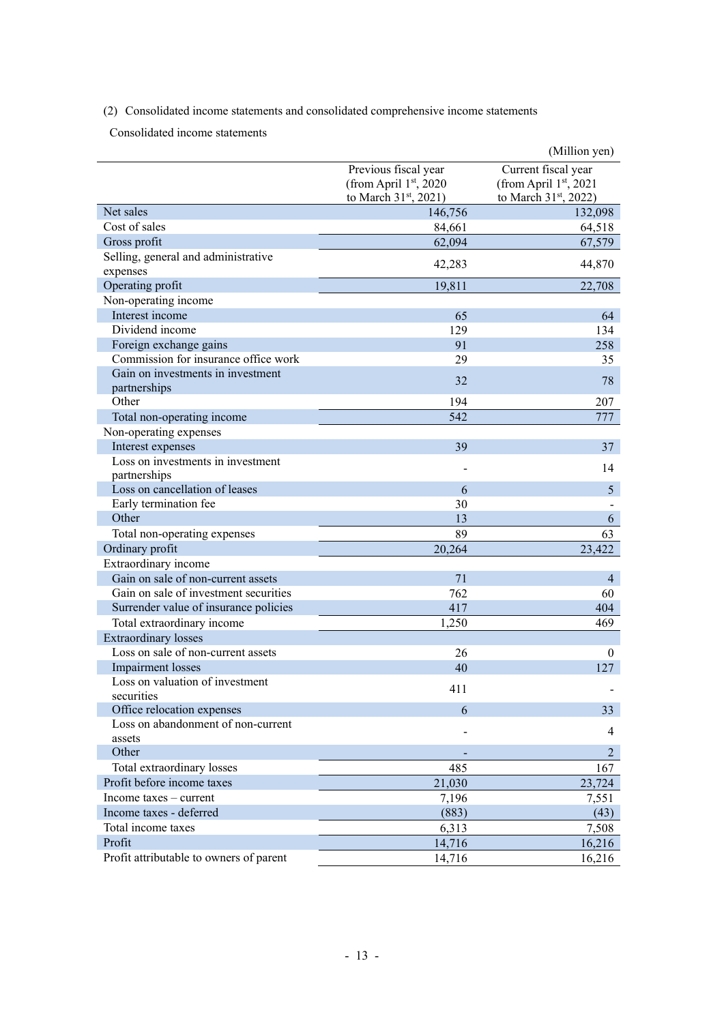(2) Consolidated income statements and consolidated comprehensive income statements

Consolidated income statements

|                                                                   |                                   | (Million yen)                     |
|-------------------------------------------------------------------|-----------------------------------|-----------------------------------|
|                                                                   | Previous fiscal year              | Current fiscal year               |
|                                                                   | (from April 1st, 2020             | (from April 1st, 2021             |
|                                                                   | to March 31 <sup>st</sup> , 2021) | to March 31 <sup>st</sup> , 2022) |
| Net sales                                                         | 146,756                           | 132,098                           |
| Cost of sales                                                     | 84,661                            | 64,518                            |
| Gross profit                                                      | 62,094                            | 67,579                            |
| Selling, general and administrative                               | 42,283                            | 44,870                            |
| expenses                                                          |                                   |                                   |
| Operating profit                                                  | 19,811                            | 22,708                            |
| Non-operating income                                              |                                   |                                   |
| Interest income                                                   | 65                                | 64                                |
| Dividend income                                                   | 129                               | 134                               |
| Foreign exchange gains                                            | 91                                | 258                               |
| Commission for insurance office work                              | 29                                | 35                                |
| Gain on investments in investment                                 | 32                                | 78                                |
| partnerships                                                      |                                   |                                   |
| Other                                                             | 194                               | 207                               |
| Total non-operating income                                        | 542                               | 777                               |
| Non-operating expenses                                            |                                   |                                   |
| Interest expenses                                                 | 39                                | 37                                |
| Loss on investments in investment                                 |                                   | 14                                |
| partnerships                                                      |                                   |                                   |
| Loss on cancellation of leases                                    | 6                                 | 5                                 |
| Early termination fee<br>Other                                    | 30                                |                                   |
|                                                                   | 13                                | 6                                 |
| Total non-operating expenses                                      | 89                                | 63                                |
| Ordinary profit                                                   | 20,264                            | 23,422                            |
| Extraordinary income                                              |                                   |                                   |
| Gain on sale of non-current assets                                | 71                                | $\overline{4}$                    |
| Gain on sale of investment securities                             | 762                               | 60                                |
| Surrender value of insurance policies                             | 417                               | 404                               |
| Total extraordinary income                                        | 1,250                             | 469                               |
| <b>Extraordinary losses</b><br>Loss on sale of non-current assets |                                   |                                   |
|                                                                   | 26                                | 0                                 |
| <b>Impairment</b> losses<br>Loss on valuation of investment       | 40                                | 127                               |
| securities                                                        | 411                               |                                   |
| Office relocation expenses                                        | 6                                 | 33                                |
| Loss on abandonment of non-current                                |                                   |                                   |
| assets                                                            |                                   | 4                                 |
| Other                                                             |                                   | $\overline{2}$                    |
| Total extraordinary losses                                        | 485                               | 167                               |
| Profit before income taxes                                        | 21,030                            | 23,724                            |
| Income taxes – current                                            | 7,196                             | 7,551                             |
| Income taxes - deferred                                           | (883)                             | (43)                              |
| Total income taxes                                                | 6,313                             | 7,508                             |
| Profit                                                            | 14,716                            | 16,216                            |
| Profit attributable to owners of parent                           | 14,716                            | 16,216                            |
|                                                                   |                                   |                                   |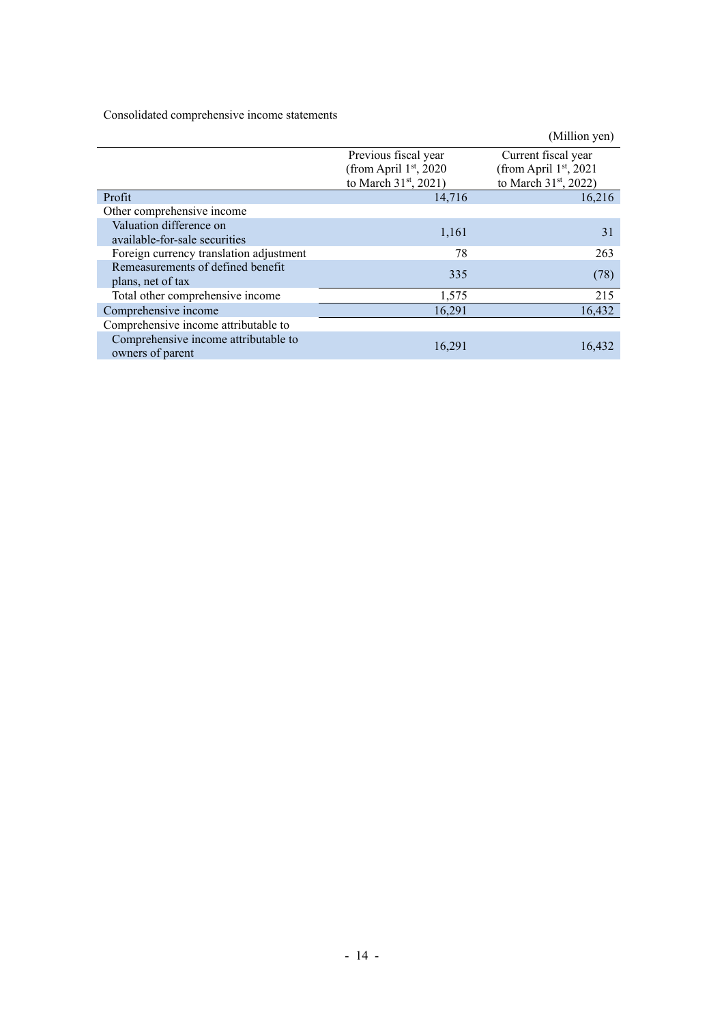Consolidated comprehensive income statements

|                                                          |                       | (Million yen)                     |
|----------------------------------------------------------|-----------------------|-----------------------------------|
|                                                          | Previous fiscal year  | Current fiscal year               |
|                                                          | (from April 1st, 2020 | (from April 1st, 2021             |
|                                                          | to March 31st, 2021)  | to March 31 <sup>st</sup> , 2022) |
| Profit                                                   | 14,716                | 16,216                            |
| Other comprehensive income                               |                       |                                   |
| Valuation difference on                                  | 1,161                 | 31                                |
| available-for-sale securities                            |                       |                                   |
| Foreign currency translation adjustment                  | 78                    | 263                               |
| Remeasurements of defined benefit                        | 335                   |                                   |
| plans, net of tax                                        |                       | (78)                              |
| Total other comprehensive income                         | 1,575                 | 215                               |
| Comprehensive income                                     | 16,291                | 16,432                            |
| Comprehensive income attributable to                     |                       |                                   |
| Comprehensive income attributable to<br>owners of parent | 16.291                | 16.432                            |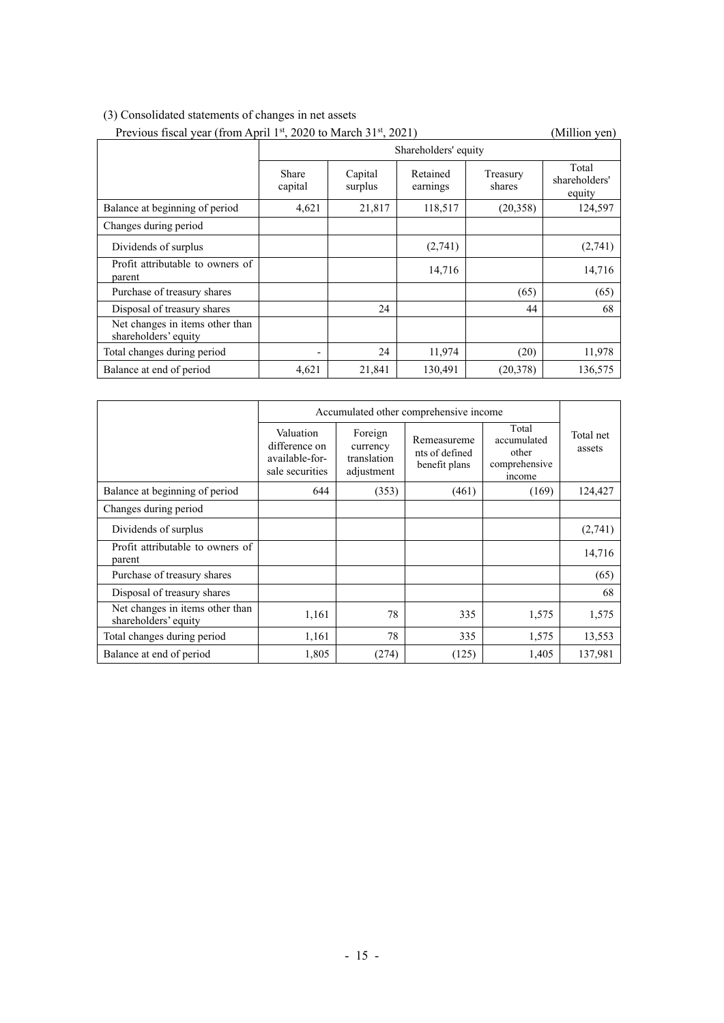## (3) Consolidated statements of changes in net assets

|                                                         | Previous fiscal year (from April 1st, 2020 to March 31st, 2021) |                      |                      |                    | (Million yen)                    |
|---------------------------------------------------------|-----------------------------------------------------------------|----------------------|----------------------|--------------------|----------------------------------|
|                                                         |                                                                 | Shareholders' equity |                      |                    |                                  |
|                                                         | Share<br>capital                                                | Capital<br>surplus   | Retained<br>earnings | Treasury<br>shares | Total<br>shareholders'<br>equity |
| Balance at beginning of period                          | 4,621                                                           | 21,817               | 118,517              | (20, 358)          | 124,597                          |
| Changes during period                                   |                                                                 |                      |                      |                    |                                  |
| Dividends of surplus                                    |                                                                 |                      | (2,741)              |                    | (2,741)                          |
| Profit attributable to owners of<br>parent              |                                                                 |                      | 14,716               |                    | 14,716                           |
| Purchase of treasury shares                             |                                                                 |                      |                      | (65)               | (65)                             |
| Disposal of treasury shares                             |                                                                 | 24                   |                      | 44                 | 68                               |
| Net changes in items other than<br>shareholders' equity |                                                                 |                      |                      |                    |                                  |
| Total changes during period                             |                                                                 | 24                   | 11,974               | (20)               | 11,978                           |
| Balance at end of period                                | 4,621                                                           | 21,841               | 130,491              | (20, 378)          | 136,575                          |

|                                                         | Accumulated other comprehensive income                          |                                                  |                                                |                                                          |                     |
|---------------------------------------------------------|-----------------------------------------------------------------|--------------------------------------------------|------------------------------------------------|----------------------------------------------------------|---------------------|
|                                                         | Valuation<br>difference on<br>available-for-<br>sale securities | Foreign<br>currency<br>translation<br>adjustment | Remeasureme<br>nts of defined<br>benefit plans | Total<br>accumulated<br>other<br>comprehensive<br>income | Total net<br>assets |
| Balance at beginning of period                          | 644                                                             | (353)                                            | (461)                                          | (169)                                                    | 124,427             |
| Changes during period                                   |                                                                 |                                                  |                                                |                                                          |                     |
| Dividends of surplus                                    |                                                                 |                                                  |                                                |                                                          | (2,741)             |
| Profit attributable to owners of<br>parent              |                                                                 |                                                  |                                                |                                                          | 14,716              |
| Purchase of treasury shares                             |                                                                 |                                                  |                                                |                                                          | (65)                |
| Disposal of treasury shares                             |                                                                 |                                                  |                                                |                                                          | 68                  |
| Net changes in items other than<br>shareholders' equity | 1,161                                                           | 78                                               | 335                                            | 1,575                                                    | 1,575               |
| Total changes during period                             | 1,161                                                           | 78                                               | 335                                            | 1,575                                                    | 13,553              |
| Balance at end of period                                | 1,805                                                           | (274)                                            | (125)                                          | 1,405                                                    | 137,981             |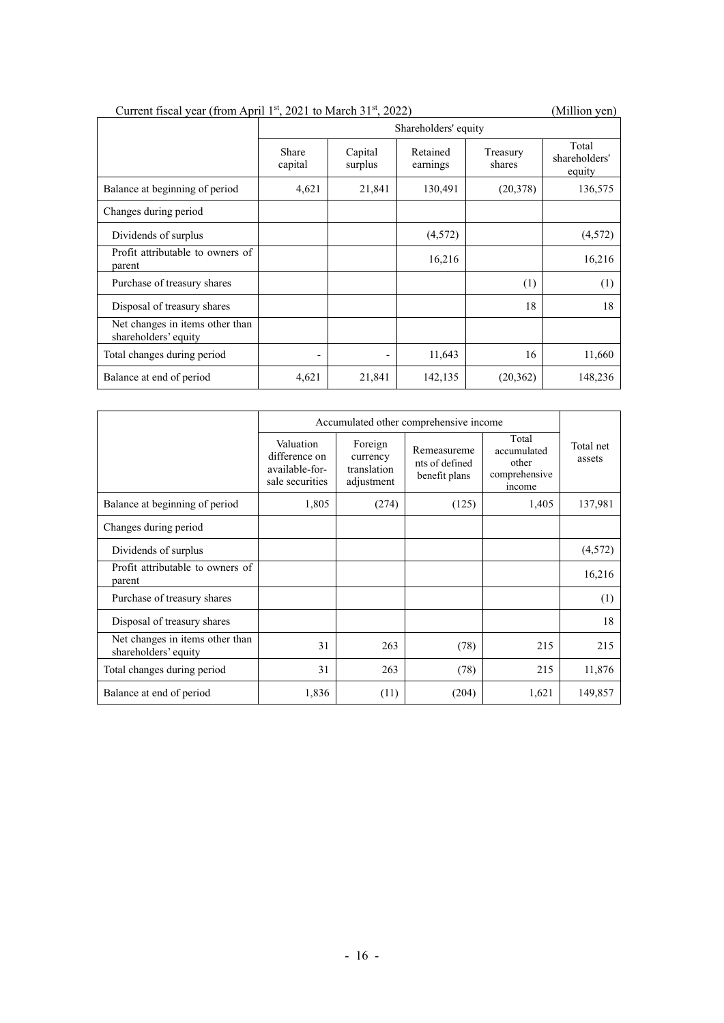|  |  |  | Current fiscal year (from April 1 <sup>st</sup> , 2021 to March $31st$ , 2022) |
|--|--|--|--------------------------------------------------------------------------------|
|--|--|--|--------------------------------------------------------------------------------|

(Million yen)

|                                                         | Shareholders' equity     |                          |                      |                    |                                  |
|---------------------------------------------------------|--------------------------|--------------------------|----------------------|--------------------|----------------------------------|
|                                                         | Share<br>capital         | Capital<br>surplus       | Retained<br>earnings | Treasury<br>shares | Total<br>shareholders'<br>equity |
| Balance at beginning of period                          | 4,621                    | 21,841                   | 130,491              | (20,378)           | 136,575                          |
| Changes during period                                   |                          |                          |                      |                    |                                  |
| Dividends of surplus                                    |                          |                          | (4,572)              |                    | (4,572)                          |
| Profit attributable to owners of<br>parent              |                          |                          | 16,216               |                    | 16,216                           |
| Purchase of treasury shares                             |                          |                          |                      | (1)                | (1)                              |
| Disposal of treasury shares                             |                          |                          |                      | 18                 | 18                               |
| Net changes in items other than<br>shareholders' equity |                          |                          |                      |                    |                                  |
| Total changes during period                             | $\overline{\phantom{a}}$ | $\overline{\phantom{0}}$ | 11,643               | 16                 | 11,660                           |
| Balance at end of period                                | 4,621                    | 21,841                   | 142,135              | (20, 362)          | 148,236                          |

|                                                         | Accumulated other comprehensive income                          |                                                  |                                                |                                                          |                     |
|---------------------------------------------------------|-----------------------------------------------------------------|--------------------------------------------------|------------------------------------------------|----------------------------------------------------------|---------------------|
|                                                         | Valuation<br>difference on<br>available-for-<br>sale securities | Foreign<br>currency<br>translation<br>adjustment | Remeasureme<br>nts of defined<br>benefit plans | Total<br>accumulated<br>other<br>comprehensive<br>income | Total net<br>assets |
| Balance at beginning of period                          | 1,805                                                           | (274)                                            | (125)                                          | 1,405                                                    | 137,981             |
| Changes during period                                   |                                                                 |                                                  |                                                |                                                          |                     |
| Dividends of surplus                                    |                                                                 |                                                  |                                                |                                                          | (4,572)             |
| Profit attributable to owners of<br>parent              |                                                                 |                                                  |                                                |                                                          | 16,216              |
| Purchase of treasury shares                             |                                                                 |                                                  |                                                |                                                          | (1)                 |
| Disposal of treasury shares                             |                                                                 |                                                  |                                                |                                                          | 18                  |
| Net changes in items other than<br>shareholders' equity | 31                                                              | 263                                              | (78)                                           | 215                                                      | 215                 |
| Total changes during period                             | 31                                                              | 263                                              | (78)                                           | 215                                                      | 11,876              |
| Balance at end of period                                | 1,836                                                           | (11)                                             | (204)                                          | 1,621                                                    | 149,857             |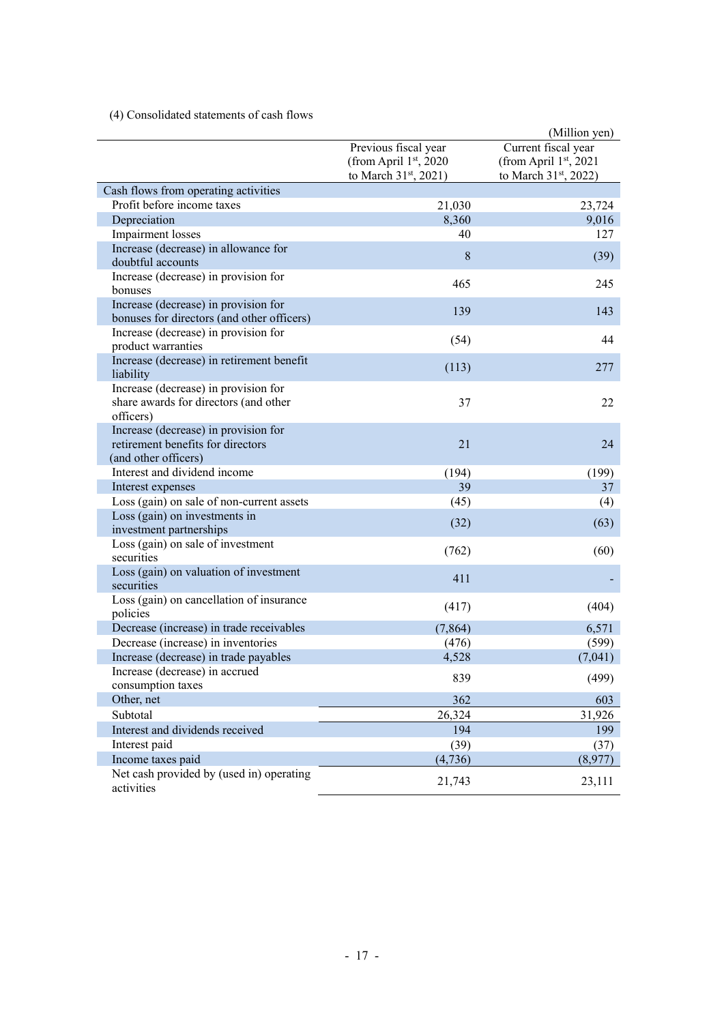# (4) Consolidated statements of cash flows

|                                                        |                                   | (Million yen)                     |
|--------------------------------------------------------|-----------------------------------|-----------------------------------|
|                                                        | Previous fiscal year              | Current fiscal year               |
|                                                        | (from April 1st, 2020)            | (from April 1st, 2021             |
|                                                        | to March 31 <sup>st</sup> , 2021) | to March 31 <sup>st</sup> , 2022) |
| Cash flows from operating activities                   |                                   |                                   |
| Profit before income taxes                             | 21,030                            | 23,724                            |
| Depreciation                                           | 8,360                             | 9,016                             |
| Impairment losses                                      | 40                                | 127                               |
| Increase (decrease) in allowance for                   |                                   |                                   |
| doubtful accounts                                      | 8                                 | (39)                              |
| Increase (decrease) in provision for                   |                                   |                                   |
| bonuses                                                | 465                               | 245                               |
| Increase (decrease) in provision for                   |                                   |                                   |
| bonuses for directors (and other officers)             | 139                               | 143                               |
| Increase (decrease) in provision for                   |                                   |                                   |
| product warranties                                     | (54)                              | 44                                |
| Increase (decrease) in retirement benefit              |                                   |                                   |
| liability                                              | (113)                             | 277                               |
| Increase (decrease) in provision for                   |                                   |                                   |
| share awards for directors (and other                  | 37                                | 22                                |
| officers)                                              |                                   |                                   |
| Increase (decrease) in provision for                   |                                   |                                   |
| retirement benefits for directors                      | 21                                | 24                                |
| (and other officers)                                   |                                   |                                   |
| Interest and dividend income                           | (194)                             | (199)                             |
| Interest expenses                                      | 39                                | 37                                |
| Loss (gain) on sale of non-current assets              | (45)                              | (4)                               |
| Loss (gain) on investments in                          | (32)                              | (63)                              |
| investment partnerships                                |                                   |                                   |
| Loss (gain) on sale of investment                      | (762)                             | (60)                              |
| securities                                             |                                   |                                   |
| Loss (gain) on valuation of investment                 | 411                               |                                   |
| securities                                             |                                   |                                   |
| Loss (gain) on cancellation of insurance               | (417)                             | (404)                             |
| policies                                               |                                   |                                   |
| Decrease (increase) in trade receivables               | (7, 864)                          | 6,571                             |
| Decrease (increase) in inventories                     | (476)                             | (599)                             |
| Increase (decrease) in trade payables                  | 4,528                             | (7,041)                           |
| Increase (decrease) in accrued                         | 839                               | (499)                             |
| consumption taxes                                      |                                   |                                   |
| Other, net                                             | 362                               | 603                               |
| Subtotal                                               | 26,324                            | 31,926                            |
| Interest and dividends received                        | 194                               | 199                               |
| Interest paid                                          | (39)                              | (37)                              |
| Income taxes paid                                      | (4,736)                           | (8,977)                           |
| Net cash provided by (used in) operating<br>activities | 21,743                            | 23,111                            |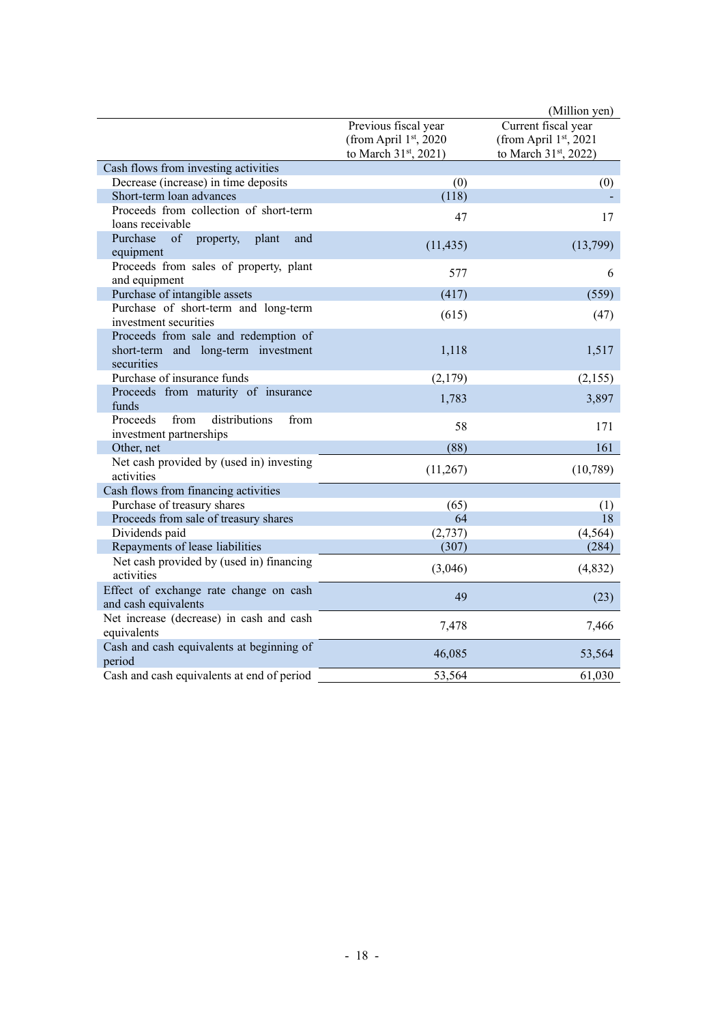|                                                                      |                                   | (Million yen)         |
|----------------------------------------------------------------------|-----------------------------------|-----------------------|
|                                                                      | Previous fiscal year              | Current fiscal year   |
|                                                                      | (from April 1st, 2020             | (from April 1st, 2021 |
|                                                                      | to March 31 <sup>st</sup> , 2021) | to March 31st, 2022)  |
| Cash flows from investing activities                                 |                                   |                       |
| Decrease (increase) in time deposits                                 | (0)                               | (0)                   |
| Short-term loan advances                                             | (118)                             |                       |
| Proceeds from collection of short-term                               | 47                                | 17                    |
| loans receivable                                                     |                                   |                       |
| Purchase<br>of<br>property,<br>plant<br>and<br>equipment             | (11, 435)                         | (13,799)              |
| Proceeds from sales of property, plant<br>and equipment              | 577                               | 6                     |
| Purchase of intangible assets                                        | (417)                             | (559)                 |
| Purchase of short-term and long-term                                 |                                   |                       |
| investment securities                                                | (615)                             | (47)                  |
| Proceeds from sale and redemption of                                 |                                   |                       |
| short-term and long-term investment<br>securities                    | 1,118                             | 1,517                 |
| Purchase of insurance funds                                          | (2,179)                           | (2,155)               |
| Proceeds from maturity of insurance                                  | 1,783                             |                       |
| funds                                                                |                                   | 3,897                 |
| distributions<br>Proceeds<br>from<br>from                            | 58                                | 171                   |
| investment partnerships                                              |                                   |                       |
| Other, net                                                           | (88)                              | 161                   |
| Net cash provided by (used in) investing                             | (11,267)                          | (10, 789)             |
| activities                                                           |                                   |                       |
| Cash flows from financing activities                                 |                                   |                       |
| Purchase of treasury shares<br>Proceeds from sale of treasury shares | (65)<br>64                        | (1)<br>18             |
| Dividends paid                                                       | (2,737)                           | (4, 564)              |
| Repayments of lease liabilities                                      | (307)                             | (284)                 |
| Net cash provided by (used in) financing                             |                                   |                       |
| activities                                                           | (3,046)                           | (4,832)               |
| Effect of exchange rate change on cash                               | 49                                | (23)                  |
| and cash equivalents                                                 |                                   |                       |
| Net increase (decrease) in cash and cash<br>equivalents              | 7,478                             | 7,466                 |
| Cash and cash equivalents at beginning of                            | 46,085                            | 53,564                |
| period                                                               |                                   |                       |
| Cash and cash equivalents at end of period                           | 53,564                            | 61,030                |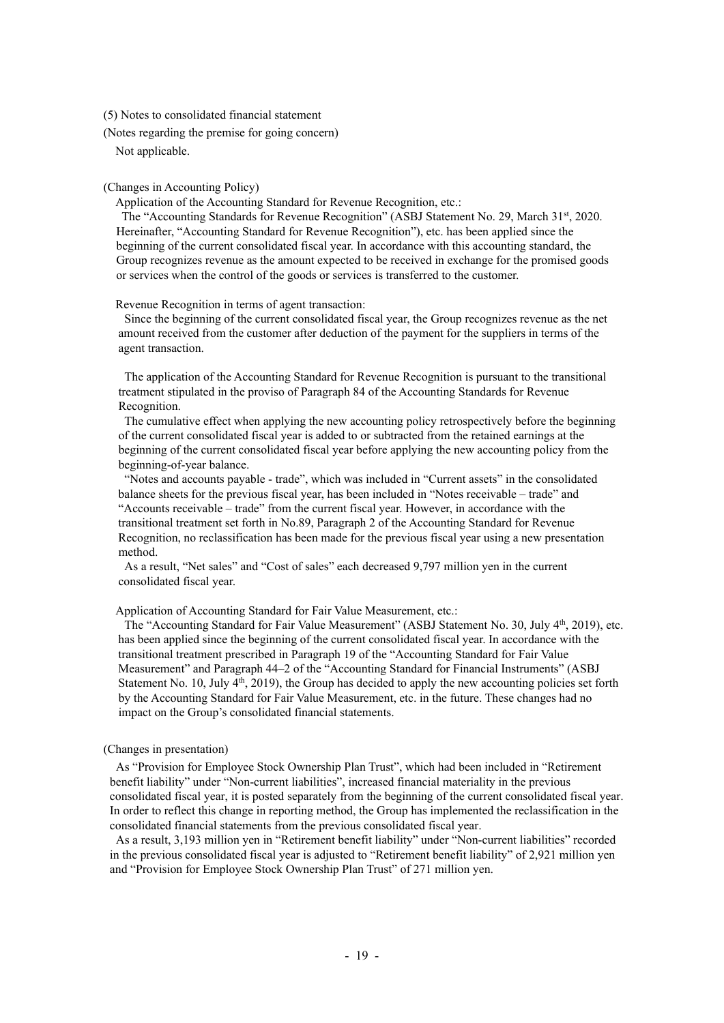(5) Notes to consolidated financial statement

(Notes regarding the premise for going concern)

Not applicable.

(Changes in Accounting Policy)

Application of the Accounting Standard for Revenue Recognition, etc.:

The "Accounting Standards for Revenue Recognition" (ASBJ Statement No. 29, March 31<sup>st</sup>, 2020. Hereinafter, "Accounting Standard for Revenue Recognition"), etc. has been applied since the beginning of the current consolidated fiscal year. In accordance with this accounting standard, the Group recognizes revenue as the amount expected to be received in exchange for the promised goods or services when the control of the goods or services is transferred to the customer.

Revenue Recognition in terms of agent transaction:

Since the beginning of the current consolidated fiscal year, the Group recognizes revenue as the net amount received from the customer after deduction of the payment for the suppliers in terms of the agent transaction.

The application of the Accounting Standard for Revenue Recognition is pursuant to the transitional treatment stipulated in the proviso of Paragraph 84 of the Accounting Standards for Revenue Recognition.

The cumulative effect when applying the new accounting policy retrospectively before the beginning of the current consolidated fiscal year is added to or subtracted from the retained earnings at the beginning of the current consolidated fiscal year before applying the new accounting policy from the beginning-of-year balance.

"Notes and accounts payable - trade", which was included in "Current assets" in the consolidated balance sheets for the previous fiscal year, has been included in "Notes receivable – trade" and "Accounts receivable – trade" from the current fiscal year. However, in accordance with the transitional treatment set forth in No.89, Paragraph 2 of the Accounting Standard for Revenue Recognition, no reclassification has been made for the previous fiscal year using a new presentation method.

As a result, "Net sales" and "Cost of sales" each decreased 9,797 million yen in the current consolidated fiscal year.

Application of Accounting Standard for Fair Value Measurement, etc.:

The "Accounting Standard for Fair Value Measurement" (ASBJ Statement No. 30, July 4<sup>th</sup>, 2019), etc. has been applied since the beginning of the current consolidated fiscal year. In accordance with the transitional treatment prescribed in Paragraph 19 of the "Accounting Standard for Fair Value Measurement" and Paragraph 44–2 of the "Accounting Standard for Financial Instruments" (ASBJ Statement No. 10, July  $4<sup>th</sup>$ , 2019), the Group has decided to apply the new accounting policies set forth by the Accounting Standard for Fair Value Measurement, etc. in the future. These changes had no impact on the Group's consolidated financial statements.

## (Changes in presentation)

As "Provision for Employee Stock Ownership Plan Trust", which had been included in "Retirement benefit liability" under "Non-current liabilities", increased financial materiality in the previous consolidated fiscal year, it is posted separately from the beginning of the current consolidated fiscal year. In order to reflect this change in reporting method, the Group has implemented the reclassification in the consolidated financial statements from the previous consolidated fiscal year.

As a result, 3,193 million yen in "Retirement benefit liability" under "Non-current liabilities" recorded in the previous consolidated fiscal year is adjusted to "Retirement benefit liability" of 2,921 million yen and "Provision for Employee Stock Ownership Plan Trust" of 271 million yen.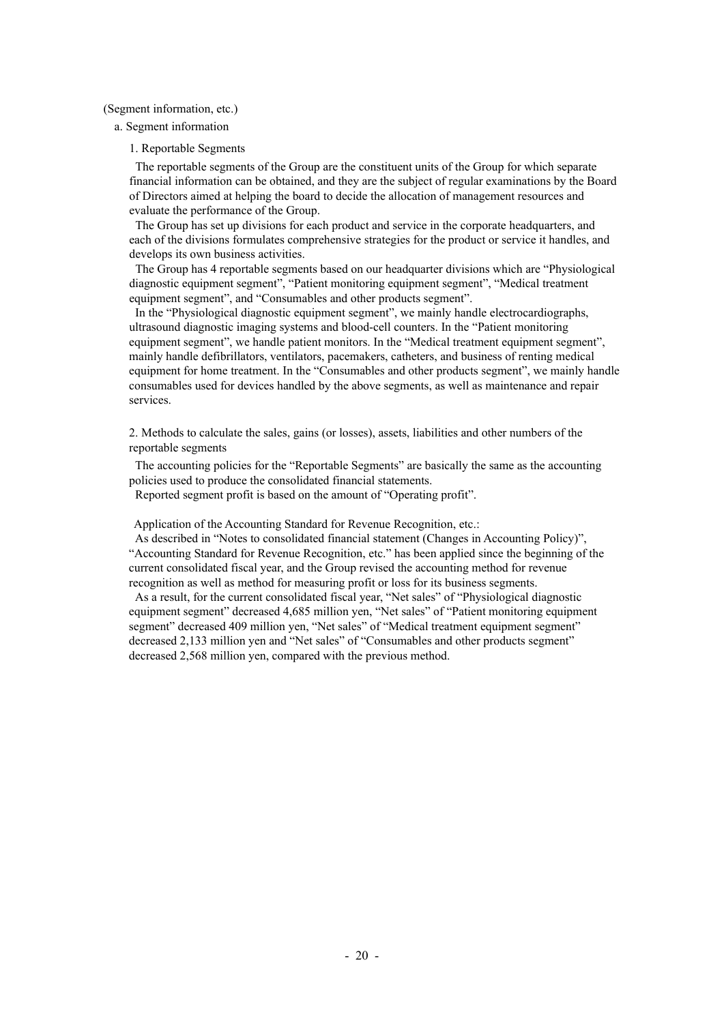#### (Segment information, etc.)

a. Segment information

#### 1. Reportable Segments

The reportable segments of the Group are the constituent units of the Group for which separate financial information can be obtained, and they are the subject of regular examinations by the Board of Directors aimed at helping the board to decide the allocation of management resources and evaluate the performance of the Group.

The Group has set up divisions for each product and service in the corporate headquarters, and each of the divisions formulates comprehensive strategies for the product or service it handles, and develops its own business activities.

The Group has 4 reportable segments based on our headquarter divisions which are "Physiological diagnostic equipment segment", "Patient monitoring equipment segment", "Medical treatment equipment segment", and "Consumables and other products segment".

In the "Physiological diagnostic equipment segment", we mainly handle electrocardiographs, ultrasound diagnostic imaging systems and blood-cell counters. In the "Patient monitoring equipment segment", we handle patient monitors. In the "Medical treatment equipment segment", mainly handle defibrillators, ventilators, pacemakers, catheters, and business of renting medical equipment for home treatment. In the "Consumables and other products segment", we mainly handle consumables used for devices handled by the above segments, as well as maintenance and repair services.

2. Methods to calculate the sales, gains (or losses), assets, liabilities and other numbers of the reportable segments

The accounting policies for the "Reportable Segments" are basically the same as the accounting policies used to produce the consolidated financial statements.

Reported segment profit is based on the amount of "Operating profit".

Application of the Accounting Standard for Revenue Recognition, etc.:

As described in "Notes to consolidated financial statement (Changes in Accounting Policy)", "Accounting Standard for Revenue Recognition, etc." has been applied since the beginning of the current consolidated fiscal year, and the Group revised the accounting method for revenue recognition as well as method for measuring profit or loss for its business segments.

As a result, for the current consolidated fiscal year, "Net sales" of "Physiological diagnostic equipment segment" decreased 4,685 million yen, "Net sales" of "Patient monitoring equipment segment" decreased 409 million yen, "Net sales" of "Medical treatment equipment segment" decreased 2,133 million yen and "Net sales" of "Consumables and other products segment" decreased 2,568 million yen, compared with the previous method.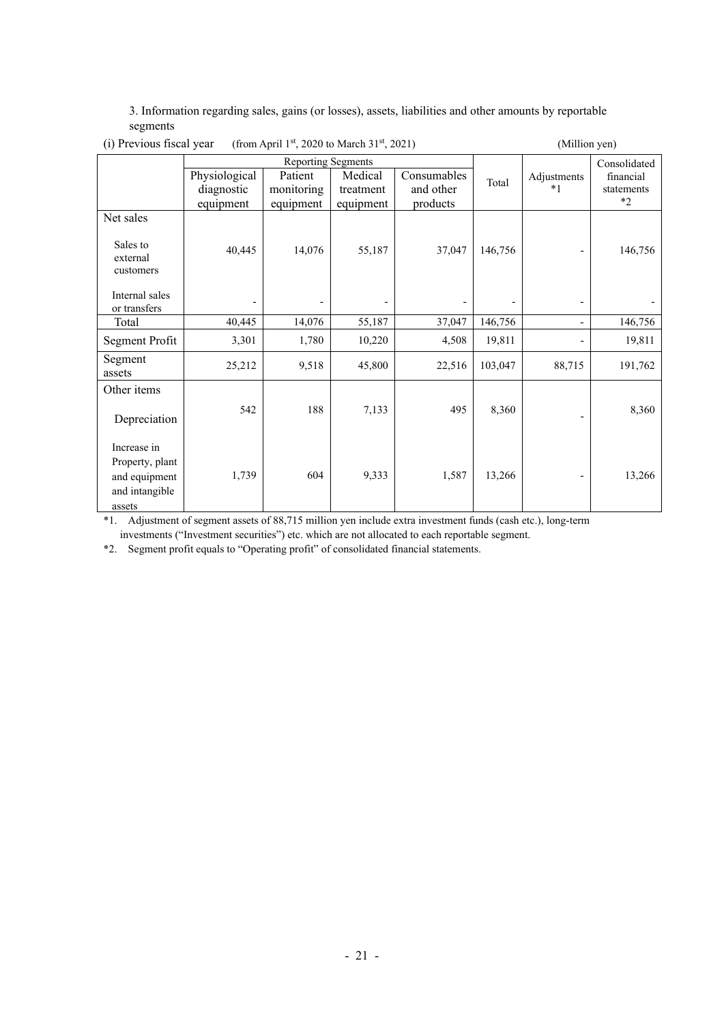3. Information regarding sales, gains (or losses), assets, liabilities and other amounts by reportable segments

| $\sqrt{2}$                                                        |                           |            |           |             |         |                          |              |
|-------------------------------------------------------------------|---------------------------|------------|-----------|-------------|---------|--------------------------|--------------|
|                                                                   | <b>Reporting Segments</b> |            |           |             |         |                          | Consolidated |
|                                                                   | Physiological             | Patient    | Medical   | Consumables | Total   | Adjustments              | financial    |
|                                                                   | diagnostic                | monitoring | treatment | and other   |         | $*1$                     | statements   |
|                                                                   | equipment                 | equipment  | equipment | products    |         |                          | $*2$         |
| Net sales                                                         |                           |            |           |             |         |                          |              |
| Sales to<br>external<br>customers                                 | 40,445                    | 14,076     | 55,187    | 37,047      | 146,756 |                          | 146,756      |
| Internal sales<br>or transfers                                    |                           |            |           |             |         |                          |              |
| Total                                                             | 40,445                    | 14,076     | 55,187    | 37,047      | 146,756 | $\overline{\phantom{0}}$ | 146,756      |
| Segment Profit                                                    | 3,301                     | 1,780      | 10,220    | 4,508       | 19,811  |                          | 19,811       |
| Segment<br>assets                                                 | 25,212                    | 9,518      | 45,800    | 22,516      | 103,047 | 88,715                   | 191,762      |
| Other items                                                       |                           |            |           |             |         |                          |              |
| Depreciation                                                      | 542                       | 188        | 7,133     | 495         | 8,360   |                          | 8,360        |
| Increase in<br>Property, plant<br>and equipment<br>and intangible | 1,739                     | 604        | 9,333     | 1,587       | 13,266  |                          | 13,266       |
| assets                                                            |                           |            |           |             |         |                          |              |

# (i) Previous fiscal year (from April  $1<sup>st</sup>$ , 2020 to March 31<sup>st</sup>, 2021) (Million yen)

\*1. Adjustment of segment assets of 88,715 million yen include extra investment funds (cash etc.), long-term

investments ("Investment securities") etc. which are not allocated to each reportable segment.

\*2. Segment profit equals to "Operating profit" of consolidated financial statements.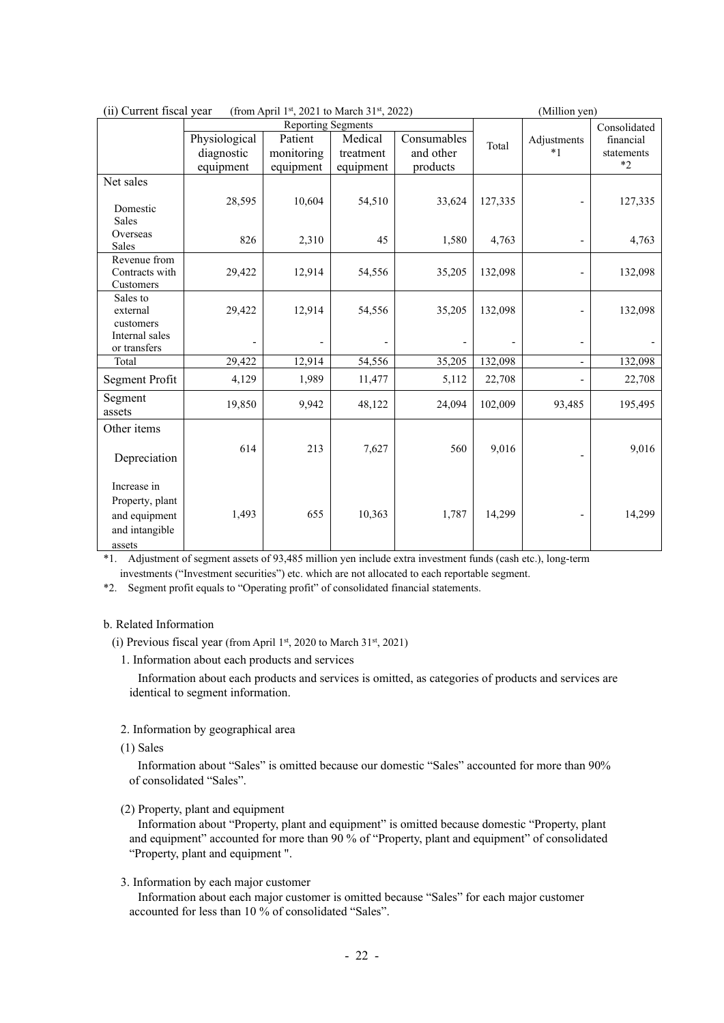| (ii) Current fiscal year<br>(from April 1st, 2021 to March 31st, 2022)      |                         |                                      |                        |                       |         | (Million yen)            |                           |
|-----------------------------------------------------------------------------|-------------------------|--------------------------------------|------------------------|-----------------------|---------|--------------------------|---------------------------|
|                                                                             | Physiological           | <b>Reporting Segments</b><br>Patient | Medical                | Consumables           | Total   | Adjustments              | Consolidated<br>financial |
|                                                                             | diagnostic<br>equipment | monitoring<br>equipment              | treatment<br>equipment | and other<br>products |         | $*1$                     | statements<br>$*2$        |
| Net sales                                                                   |                         |                                      |                        |                       |         |                          |                           |
| Domestic<br>Sales                                                           | 28,595                  | 10,604                               | 54,510                 | 33,624                | 127,335 |                          | 127,335                   |
| Overseas<br><b>Sales</b>                                                    | 826                     | 2,310                                | 45                     | 1,580                 | 4,763   |                          | 4,763                     |
| Revenue from<br>Contracts with<br>Customers                                 | 29,422                  | 12,914                               | 54,556                 | 35,205                | 132,098 |                          | 132,098                   |
| Sales to<br>external<br>customers                                           | 29,422                  | 12,914                               | 54,556                 | 35,205                | 132,098 |                          | 132,098                   |
| Internal sales<br>or transfers                                              |                         |                                      |                        |                       |         | $\overline{\phantom{a}}$ |                           |
| Total                                                                       | 29,422                  | 12,914                               | 54,556                 | 35,205                | 132,098 | $\overline{\phantom{a}}$ | 132,098                   |
| Segment Profit                                                              | 4,129                   | 1,989                                | 11,477                 | 5,112                 | 22,708  | $\overline{\phantom{a}}$ | 22,708                    |
| Segment<br>assets                                                           | 19,850                  | 9,942                                | 48,122                 | 24,094                | 102,009 | 93,485                   | 195,495                   |
| Other items                                                                 |                         |                                      |                        |                       |         |                          |                           |
| Depreciation                                                                | 614                     | 213                                  | 7,627                  | 560                   | 9,016   |                          | 9,016                     |
| Increase in<br>Property, plant<br>and equipment<br>and intangible<br>assets | 1,493                   | 655                                  | 10,363                 | 1,787                 | 14,299  |                          | 14,299                    |

\*1. Adjustment of segment assets of 93,485 million yen include extra investment funds (cash etc.), long-term investments ("Investment securities") etc. which are not allocated to each reportable segment.

\*2. Segment profit equals to "Operating profit" of consolidated financial statements.

## b. Related Information

(i) Previous fiscal year (from April 1st, 2020 to March 31st, 2021)

1. Information about each products and services

Information about each products and services is omitted, as categories of products and services are identical to segment information.

2. Information by geographical area

(1) Sales

Information about "Sales" is omitted because our domestic "Sales" accounted for more than 90% of consolidated "Sales".

(2) Property, plant and equipment

Information about "Property, plant and equipment" is omitted because domestic "Property, plant and equipment" accounted for more than 90 % of "Property, plant and equipment" of consolidated "Property, plant and equipment ".

3. Information by each major customer

Information about each major customer is omitted because "Sales" for each major customer accounted for less than 10 % of consolidated "Sales".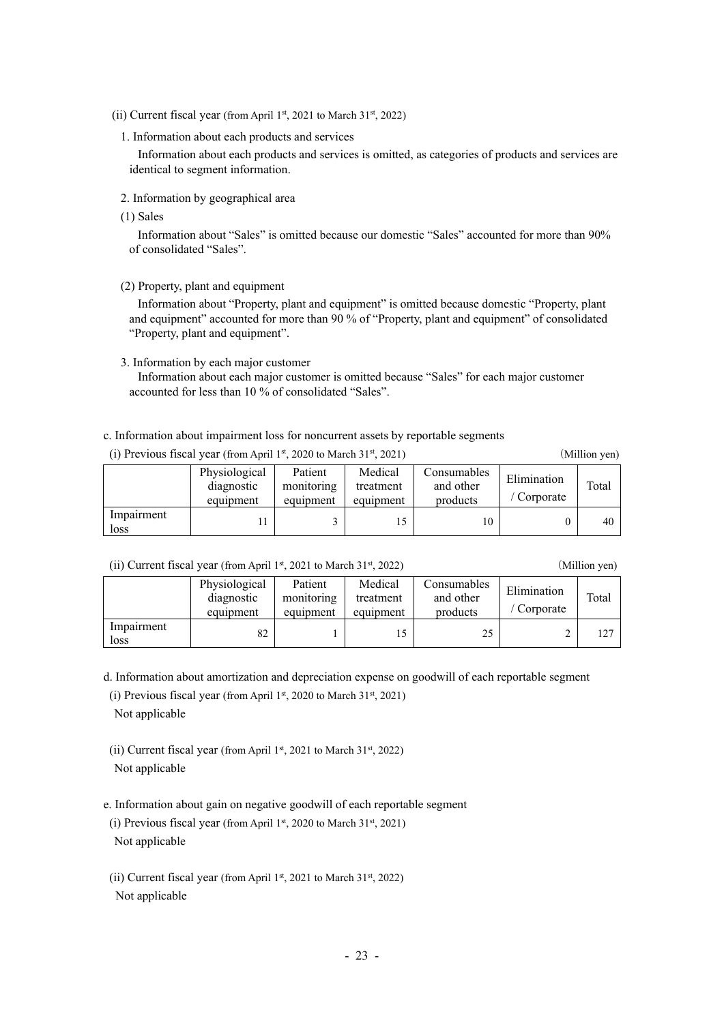- (ii) Current fiscal year (from April 1st, 2021 to March  $31<sup>st</sup>$ , 2022)
	- 1. Information about each products and services

Information about each products and services is omitted, as categories of products and services are identical to segment information.

- 2. Information by geographical area
- (1) Sales

Information about "Sales" is omitted because our domestic "Sales" accounted for more than 90% of consolidated "Sales".

(2) Property, plant and equipment

Information about "Property, plant and equipment" is omitted because domestic "Property, plant and equipment" accounted for more than 90 % of "Property, plant and equipment" of consolidated "Property, plant and equipment".

3. Information by each major customer

Information about each major customer is omitted because "Sales" for each major customer accounted for less than 10 % of consolidated "Sales".

c. Information about impairment loss for noncurrent assets by reportable segments

|  |  |  |  | (i) Previous fiscal year (from April 1st, 2020 to March 31st, 2021) |  |  |  |  |  |
|--|--|--|--|---------------------------------------------------------------------|--|--|--|--|--|
|--|--|--|--|---------------------------------------------------------------------|--|--|--|--|--|

(Million yen)

|                    | Physiological<br>diagnostic<br>equipment | Patient<br>monitoring<br>equipment | Medical<br>treatment<br>equipment | Consumables<br>and other<br>products | Elimination<br>Corporate | Total |
|--------------------|------------------------------------------|------------------------------------|-----------------------------------|--------------------------------------|--------------------------|-------|
| Impairment<br>loss |                                          |                                    |                                   | 10                                   |                          | 40    |

(ii) Current fiscal year (from April 1st, 2021 to March 31st, 2022) (Million yen)

|                    | Physiological<br>diagnostic<br>equipment | Patient<br>monitoring<br>equipment | Medical<br>treatment<br>equipment | Consumables<br>and other<br>products | Elimination<br>Corporate | Total |
|--------------------|------------------------------------------|------------------------------------|-----------------------------------|--------------------------------------|--------------------------|-------|
| Impairment<br>loss | 82                                       |                                    |                                   | 25                                   |                          | 127   |

d. Information about amortization and depreciation expense on goodwill of each reportable segment

(i) Previous fiscal year (from April 1st, 2020 to March  $31<sup>st</sup>$ , 2021)

Not applicable

(ii) Current fiscal year (from April 1st, 2021 to March 31st, 2022) Not applicable

e. Information about gain on negative goodwill of each reportable segment

(i) Previous fiscal year (from April 1st, 2020 to March  $31<sup>st</sup>$ , 2021) Not applicable

(ii) Current fiscal year (from April 1st, 2021 to March  $31<sup>st</sup>$ , 2022) Not applicable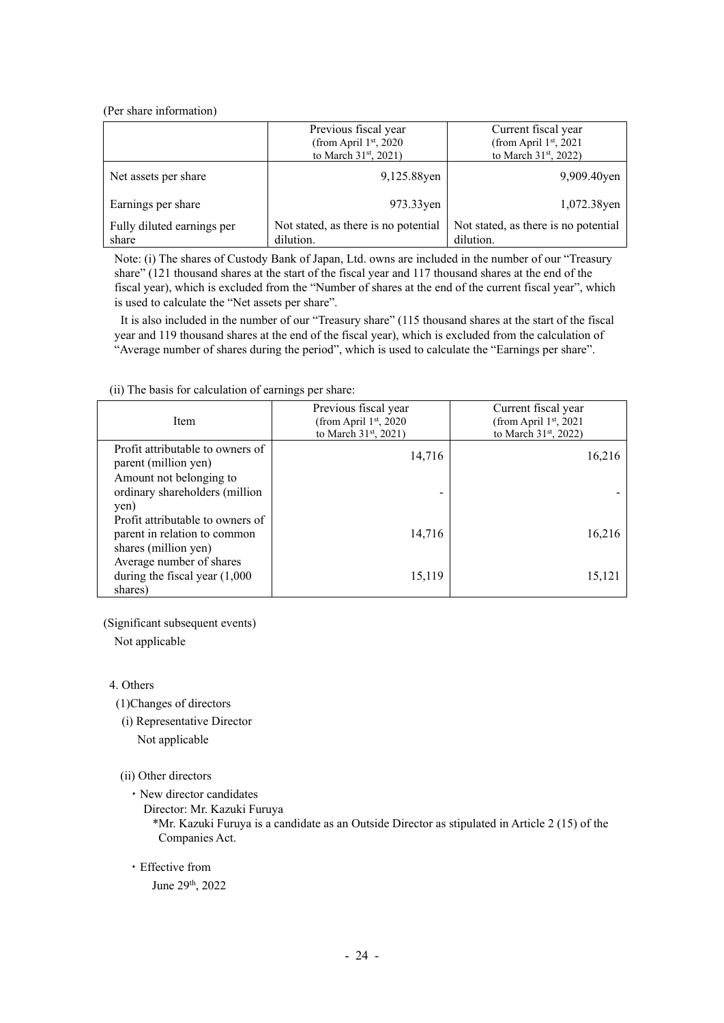### (Per share information)

|                                     | Previous fiscal year<br>(from April $1st$ , 2020<br>to March $31^{st}$ , 2021) | Current fiscal year<br>(from April $1st$ , 2021<br>to March $31^{st}$ , 2022) |  |
|-------------------------------------|--------------------------------------------------------------------------------|-------------------------------------------------------------------------------|--|
| Net assets per share                | 9,125.88yen                                                                    | 9,909.40 yen                                                                  |  |
| Earnings per share                  | 973.33yen                                                                      | 1,072.38yen                                                                   |  |
| Fully diluted earnings per<br>share | Not stated, as there is no potential<br>dilution.                              | Not stated, as there is no potential<br>dilution.                             |  |

Note: (i) The shares of Custody Bank of Japan, Ltd. owns are included in the number of our "Treasury share" (121 thousand shares at the start of the fiscal year and 117 thousand shares at the end of the fiscal year), which is excluded from the "Number of shares at the end of the current fiscal year", which is used to calculate the "Net assets per share".

It is also included in the number of our "Treasury share" (115 thousand shares at the start of the fiscal year and 119 thousand shares at the end of the fiscal year), which is excluded from the calculation of "Average number of shares during the period", which is used to calculate the "Earnings per share".

| Item                             | Previous fiscal year<br>(from April $1st$ , 2020) | Current fiscal year<br>(from April $1st$ , 2021 |  |
|----------------------------------|---------------------------------------------------|-------------------------------------------------|--|
|                                  | to March $31^{st}$ , 2021)                        | to March $31st$ , 2022)                         |  |
|                                  |                                                   |                                                 |  |
| Profit attributable to owners of | 14,716                                            | 16,216                                          |  |
| parent (million yen)             |                                                   |                                                 |  |
| Amount not belonging to          |                                                   |                                                 |  |
| ordinary shareholders (million   |                                                   |                                                 |  |
| yen)                             |                                                   |                                                 |  |
| Profit attributable to owners of |                                                   |                                                 |  |
| parent in relation to common     | 14,716                                            | 16,216                                          |  |
| shares (million yen)             |                                                   |                                                 |  |
| Average number of shares         |                                                   |                                                 |  |
| during the fiscal year $(1,000)$ | 15,119                                            | 15,121                                          |  |
| shares)                          |                                                   |                                                 |  |

(ii) The basis for calculation of earnings per share:

(Significant subsequent events)

Not applicable

4. Others

(1)Changes of directors

(i) Representative Director Not applicable

## (ii) Other directors

・New director candidates

Director: Mr. Kazuki Furuya

\*Mr. Kazuki Furuya is a candidate as an Outside Director as stipulated in Article 2 (15) of the Companies Act.

## ・Effective from

June 29th, 2022